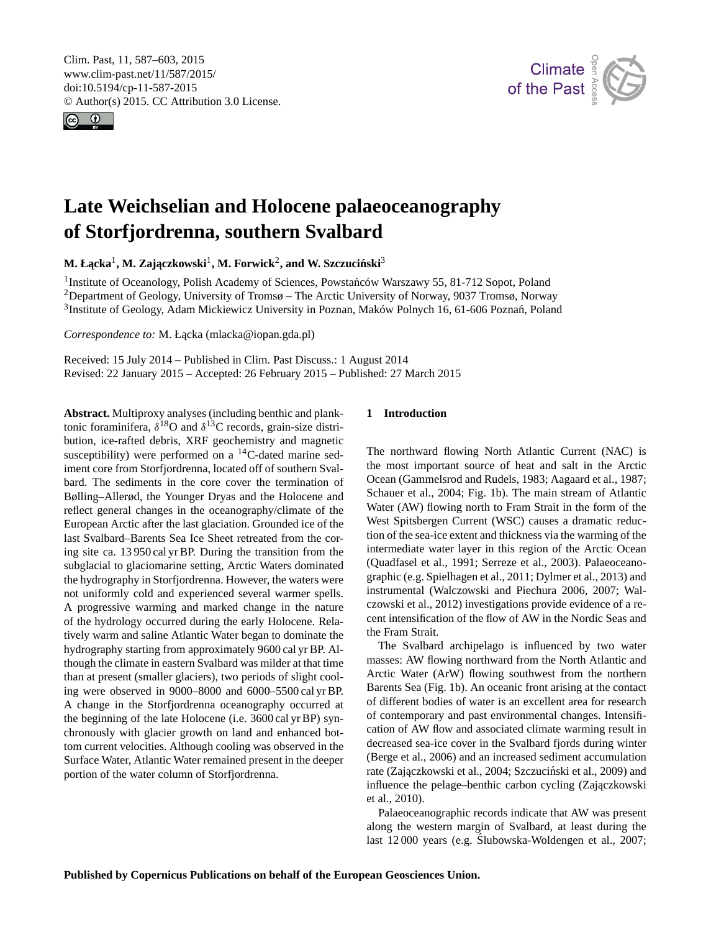<span id="page-0-1"></span>Clim. Past, 11, 587–603, 2015 www.clim-past.net/11/587/2015/ doi:10.5194/cp-11-587-2015 © Author(s) 2015. CC Attribution 3.0 License.





# **Late Weichselian and Holocene palaeoceanography of Storfjordrenna, southern Svalbard**

 $\mathbf{M.}\ \mathbf{Lacka^1,}\ \mathbf{M.}\ \mathbf{Zajaczkowski^1,}\ \mathbf{M.}\ \mathbf{Forwardk^2,}$  $\mathbf{M.}\ \mathbf{Lacka^1,}\ \mathbf{M.}\ \mathbf{Zajaczkowski^1,}\ \mathbf{M.}\ \mathbf{Forwardk^2,}$  $\mathbf{M.}\ \mathbf{Lacka^1,}\ \mathbf{M.}\ \mathbf{Zajaczkowski^1,}\ \mathbf{M.}\ \mathbf{Forwardk^2,}$  $\mathbf{M.}\ \mathbf{Lacka^1,}\ \mathbf{M.}\ \mathbf{Zajaczkowski^1,}\ \mathbf{M.}\ \mathbf{Forwardk^2,}$  $\mathbf{M.}\ \mathbf{Lacka^1,}\ \mathbf{M.}\ \mathbf{Zajaczkowski^1,}\ \mathbf{M.}\ \mathbf{Forwardk^2,}$  and  $\mathbf{W.}\ \mathbf{Szczuciński^3}$  $\mathbf{W.}\ \mathbf{Szczuciński^3}$  $\mathbf{W.}\ \mathbf{Szczuciński^3}$ 

<sup>1</sup> Institute of Oceanology, Polish Academy of Sciences, Powstańców Warszawy 55, 81-712 Sopot, Poland <sup>2</sup>Department of Geology, University of Tromsø – The Arctic University of Norway, 9037 Tromsø, Norway <sup>3</sup>Institute of Geology, Adam Mickiewicz University in Poznan, Maków Polnych 16, 61-606 Poznań, Poland

*Correspondence to:* M. Ł ˛acka (mlacka@iopan.gda.pl)

Received: 15 July 2014 – Published in Clim. Past Discuss.: 1 August 2014 Revised: 22 January 2015 – Accepted: 26 February 2015 – Published: 27 March 2015

<span id="page-0-0"></span>**Abstract.** Multiproxy analyses (including benthic and planktonic foraminifera,  $\delta^{18}O$  and  $\delta^{13}C$  records, grain-size distribution, ice-rafted debris, XRF geochemistry and magnetic susceptibility) were performed on a  $^{14}$ C-dated marine sediment core from Storfjordrenna, located off of southern Svalbard. The sediments in the core cover the termination of Bølling–Allerød, the Younger Dryas and the Holocene and reflect general changes in the oceanography/climate of the European Arctic after the last glaciation. Grounded ice of the last Svalbard–Barents Sea Ice Sheet retreated from the coring site ca. 13 950 cal yr BP. During the transition from the subglacial to glaciomarine setting, Arctic Waters dominated the hydrography in Storfjordrenna. However, the waters were not uniformly cold and experienced several warmer spells. A progressive warming and marked change in the nature of the hydrology occurred during the early Holocene. Relatively warm and saline Atlantic Water began to dominate the hydrography starting from approximately 9600 cal yr BP. Although the climate in eastern Svalbard was milder at that time than at present (smaller glaciers), two periods of slight cooling were observed in 9000–8000 and 6000–5500 cal yr BP. A change in the Storfjordrenna oceanography occurred at the beginning of the late Holocene (i.e. 3600 cal yr BP) synchronously with glacier growth on land and enhanced bottom current velocities. Although cooling was observed in the Surface Water, Atlantic Water remained present in the deeper portion of the water column of Storfjordrenna.

## **1 Introduction**

The northward flowing North Atlantic Current (NAC) is the most important source of heat and salt in the Arctic Ocean (Gammelsrod and Rudels, 1983; Aagaard et al., 1987; Schauer et al., 2004; Fig. 1b). The main stream of Atlantic Water (AW) flowing north to Fram Strait in the form of the West Spitsbergen Current (WSC) causes a dramatic reduction of the sea-ice extent and thickness via the warming of the intermediate water layer in this region of the Arctic Ocean (Quadfasel et al., 1991; Serreze et al., 2003). Palaeoceanographic (e.g. Spielhagen et al., 2011; Dylmer et al., 2013) and instrumental (Walczowski and Piechura 2006, 2007; Walczowski et al., 2012) investigations provide evidence of a recent intensification of the flow of AW in the Nordic Seas and the Fram Strait.

The Svalbard archipelago is influenced by two water masses: AW flowing northward from the North Atlantic and Arctic Water (ArW) flowing southwest from the northern Barents Sea (Fig. 1b). An oceanic front arising at the contact of different bodies of water is an excellent area for research of contemporary and past environmental changes. Intensification of AW flow and associated climate warming result in decreased sea-ice cover in the Svalbard fjords during winter (Berge et al., 2006) and an increased sediment accumulation rate (Zajączkowski et al., 2004; Szczuciński et al., 2009) and influence the pelage–benthic carbon cycling (Zajączkowski et al., 2010).

Palaeoceanographic records indicate that AW was present along the western margin of Svalbard, at least during the last 12 000 years (e.g. Slubowska-Woldengen et al., 2007;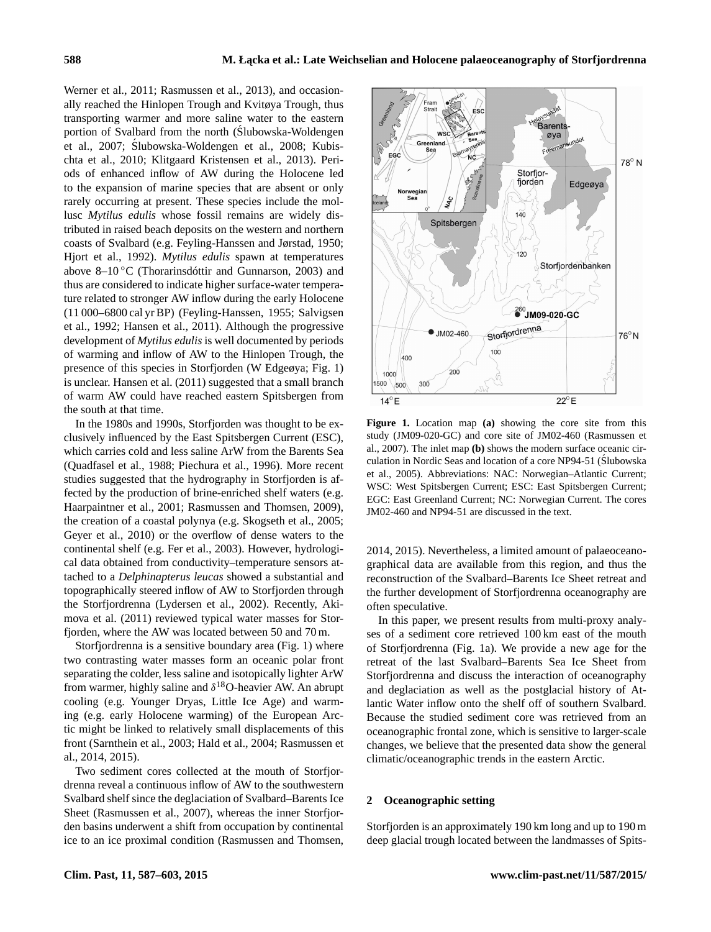Werner et al., 2011; Rasmussen et al., 2013), and occasionally reached the Hinlopen Trough and Kvitøya Trough, thus transporting warmer and more saline water to the eastern portion of Svalbard from the north (Slubowska-Woldengen ´ et al., 2007; Ślubowska-Woldengen et al., 2008; Kubischta et al., 2010; Klitgaard Kristensen et al., 2013). Periods of enhanced inflow of AW during the Holocene led to the expansion of marine species that are absent or only rarely occurring at present. These species include the mollusc *Mytilus edulis* whose fossil remains are widely distributed in raised beach deposits on the western and northern coasts of Svalbard (e.g. Feyling-Hanssen and Jørstad, 1950; Hjort et al., 1992). *Mytilus edulis* spawn at temperatures above 8–10 $\degree$ C (Thorarinsdóttir and Gunnarson, 2003) and thus are considered to indicate higher surface-water temperature related to stronger AW inflow during the early Holocene (11 000–6800 cal yr BP) (Feyling-Hanssen, 1955; Salvigsen et al., 1992; Hansen et al., 2011). Although the progressive development of *Mytilus edulis* is well documented by periods of warming and inflow of AW to the Hinlopen Trough, the presence of this species in Storfjorden (W Edgeøya; Fig. 1) is unclear. Hansen et al. (2011) suggested that a small branch of warm AW could have reached eastern Spitsbergen from the south at that time.

In the 1980s and 1990s, Storfjorden was thought to be exclusively influenced by the East Spitsbergen Current (ESC), which carries cold and less saline ArW from the Barents Sea (Quadfasel et al., 1988; Piechura et al., 1996). More recent studies suggested that the hydrography in Storfjorden is affected by the production of brine-enriched shelf waters (e.g. Haarpaintner et al., 2001; Rasmussen and Thomsen, 2009), the creation of a coastal polynya (e.g. Skogseth et al., 2005; Geyer et al., 2010) or the overflow of dense waters to the continental shelf (e.g. Fer et al., 2003). However, hydrological data obtained from conductivity–temperature sensors attached to a *Delphinapterus leucas* showed a substantial and topographically steered inflow of AW to Storfjorden through the Storfjordrenna (Lydersen et al., 2002). Recently, Akimova et al. (2011) reviewed typical water masses for Storfjorden, where the AW was located between 50 and 70 m.

Storfjordrenna is a sensitive boundary area (Fig. 1) where two contrasting water masses form an oceanic polar front separating the colder, less saline and isotopically lighter ArW from warmer, highly saline and  $\delta^{18}$ O-heavier AW. An abrupt cooling (e.g. Younger Dryas, Little Ice Age) and warming (e.g. early Holocene warming) of the European Arctic might be linked to relatively small displacements of this front (Sarnthein et al., 2003; Hald et al., 2004; Rasmussen et al., 2014, 2015).

Two sediment cores collected at the mouth of Storfjordrenna reveal a continuous inflow of AW to the southwestern Svalbard shelf since the deglaciation of Svalbard–Barents Ice Sheet (Rasmussen et al., 2007), whereas the inner Storfjorden basins underwent a shift from occupation by continental ice to an ice proximal condition (Rasmussen and Thomsen,



**Figure 1.** Location map **(a)** showing the core site from this study (JM09-020-GC) and core site of JM02-460 (Rasmussen et al., 2007). The inlet map **(b)** shows the modern surface oceanic circulation in Nordic Seas and location of a core NP94-51 (Slubowska ´ et al., 2005). Abbreviations: NAC: Norwegian–Atlantic Current; WSC: West Spitsbergen Current; ESC: East Spitsbergen Current; EGC: East Greenland Current; NC: Norwegian Current. The cores JM02-460 and NP94-51 are discussed in the text.

2014, 2015). Nevertheless, a limited amount of palaeoceanographical data are available from this region, and thus the reconstruction of the Svalbard–Barents Ice Sheet retreat and the further development of Storfjordrenna oceanography are often speculative.

In this paper, we present results from multi-proxy analyses of a sediment core retrieved 100 km east of the mouth of Storfjordrenna (Fig. 1a). We provide a new age for the retreat of the last Svalbard–Barents Sea Ice Sheet from Storfjordrenna and discuss the interaction of oceanography and deglaciation as well as the postglacial history of Atlantic Water inflow onto the shelf off of southern Svalbard. Because the studied sediment core was retrieved from an oceanographic frontal zone, which is sensitive to larger-scale changes, we believe that the presented data show the general climatic/oceanographic trends in the eastern Arctic.

### **2 Oceanographic setting**

Storfjorden is an approximately 190 km long and up to 190 m deep glacial trough located between the landmasses of Spits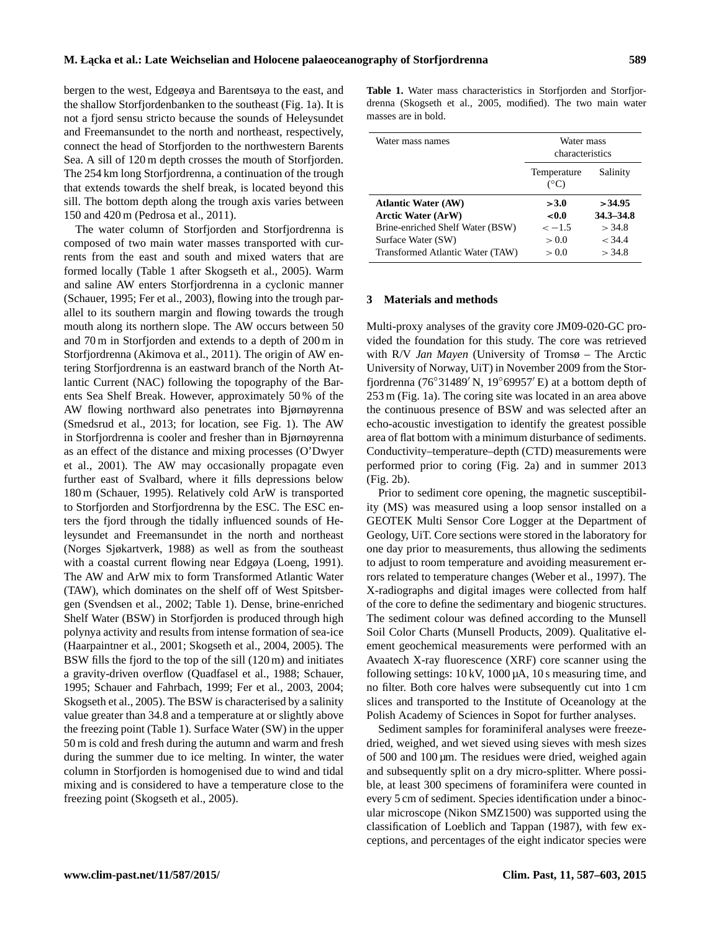bergen to the west, Edgeøya and Barentsøya to the east, and the shallow Storfjordenbanken to the southeast (Fig. 1a). It is not a fjord sensu stricto because the sounds of Heleysundet and Freemansundet to the north and northeast, respectively, connect the head of Storfjorden to the northwestern Barents Sea. A sill of 120 m depth crosses the mouth of Storfjorden. The 254 km long Storfjordrenna, a continuation of the trough that extends towards the shelf break, is located beyond this sill. The bottom depth along the trough axis varies between 150 and 420 m (Pedrosa et al., 2011).

The water column of Storfjorden and Storfjordrenna is composed of two main water masses transported with currents from the east and south and mixed waters that are formed locally (Table 1 after Skogseth et al., 2005). Warm and saline AW enters Storfjordrenna in a cyclonic manner (Schauer, 1995; Fer et al., 2003), flowing into the trough parallel to its southern margin and flowing towards the trough mouth along its northern slope. The AW occurs between 50 and 70 m in Storfjorden and extends to a depth of 200 m in Storfjordrenna (Akimova et al., 2011). The origin of AW entering Storfjordrenna is an eastward branch of the North Atlantic Current (NAC) following the topography of the Barents Sea Shelf Break. However, approximately 50 % of the AW flowing northward also penetrates into Bjørnøyrenna (Smedsrud et al., 2013; for location, see Fig. 1). The AW in Storfjordrenna is cooler and fresher than in Bjørnøyrenna as an effect of the distance and mixing processes (O'Dwyer et al., 2001). The AW may occasionally propagate even further east of Svalbard, where it fills depressions below 180 m (Schauer, 1995). Relatively cold ArW is transported to Storfjorden and Storfjordrenna by the ESC. The ESC enters the fjord through the tidally influenced sounds of Heleysundet and Freemansundet in the north and northeast (Norges Sjøkartverk, 1988) as well as from the southeast with a coastal current flowing near Edgøya (Loeng, 1991). The AW and ArW mix to form Transformed Atlantic Water (TAW), which dominates on the shelf off of West Spitsbergen (Svendsen et al., 2002; Table 1). Dense, brine-enriched Shelf Water (BSW) in Storfjorden is produced through high polynya activity and results from intense formation of sea-ice (Haarpaintner et al., 2001; Skogseth et al., 2004, 2005). The BSW fills the fjord to the top of the sill (120 m) and initiates a gravity-driven overflow (Quadfasel et al., 1988; Schauer, 1995; Schauer and Fahrbach, 1999; Fer et al., 2003, 2004; Skogseth et al., 2005). The BSW is characterised by a salinity value greater than 34.8 and a temperature at or slightly above the freezing point (Table 1). Surface Water (SW) in the upper 50 m is cold and fresh during the autumn and warm and fresh during the summer due to ice melting. In winter, the water column in Storfjorden is homogenised due to wind and tidal mixing and is considered to have a temperature close to the freezing point (Skogseth et al., 2005).

**Table 1.** Water mass characteristics in Storfjorden and Storfjordrenna (Skogseth et al., 2005, modified). The two main water masses are in bold.

| Water mass names                 | Water mass<br>characteristics |               |  |
|----------------------------------|-------------------------------|---------------|--|
|                                  | Temperature<br>$(^{\circ}C)$  | Salinity      |  |
| <b>Atlantic Water (AW)</b>       | >3.0                          | >34.95        |  |
| <b>Arctic Water (ArW)</b>        | -0.0                          | $34.3 - 34.8$ |  |
| Brine-enriched Shelf Water (BSW) | $\le -1.5$                    | > 34.8        |  |
| Surface Water (SW)               | > 0.0                         | < 34.4        |  |
| Transformed Atlantic Water (TAW) | > 0.0                         | > 34.8        |  |

#### **3 Materials and methods**

Multi-proxy analyses of the gravity core JM09-020-GC provided the foundation for this study. The core was retrieved with R/V *Jan Mayen* (University of Tromsø – The Arctic University of Norway, UiT) in November 2009 from the Storfjordrenna (76°31489' N, 19°69957' E) at a bottom depth of 253 m (Fig. 1a). The coring site was located in an area above the continuous presence of BSW and was selected after an echo-acoustic investigation to identify the greatest possible area of flat bottom with a minimum disturbance of sediments. Conductivity–temperature–depth (CTD) measurements were performed prior to coring (Fig. 2a) and in summer 2013 (Fig. 2b).

Prior to sediment core opening, the magnetic susceptibility (MS) was measured using a loop sensor installed on a GEOTEK Multi Sensor Core Logger at the Department of Geology, UiT. Core sections were stored in the laboratory for one day prior to measurements, thus allowing the sediments to adjust to room temperature and avoiding measurement errors related to temperature changes (Weber et al., 1997). The X-radiographs and digital images were collected from half of the core to define the sedimentary and biogenic structures. The sediment colour was defined according to the Munsell Soil Color Charts (Munsell Products, 2009). Qualitative element geochemical measurements were performed with an Avaatech X-ray fluorescence (XRF) core scanner using the following settings:  $10 \text{ kV}$ ,  $1000 \mu\text{A}$ ,  $10 \text{ s}$  measuring time, and no filter. Both core halves were subsequently cut into 1 cm slices and transported to the Institute of Oceanology at the Polish Academy of Sciences in Sopot for further analyses.

Sediment samples for foraminiferal analyses were freezedried, weighed, and wet sieved using sieves with mesh sizes of 500 and 100 µm. The residues were dried, weighed again and subsequently split on a dry micro-splitter. Where possible, at least 300 specimens of foraminifera were counted in every 5 cm of sediment. Species identification under a binocular microscope (Nikon SMZ1500) was supported using the classification of Loeblich and Tappan (1987), with few exceptions, and percentages of the eight indicator species were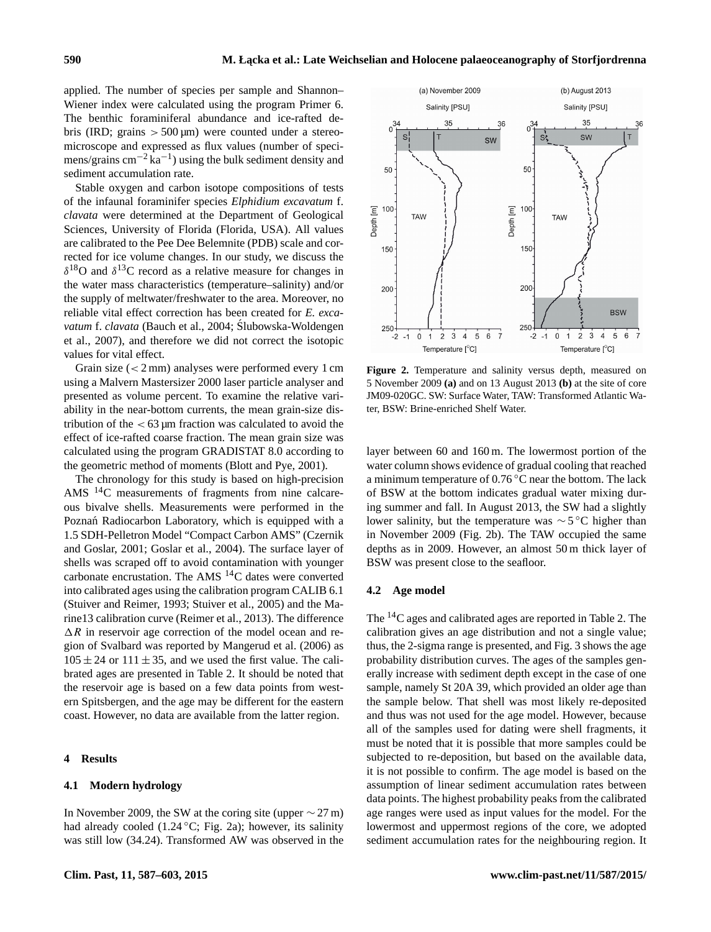applied. The number of species per sample and Shannon– Wiener index were calculated using the program Primer 6. The benthic foraminiferal abundance and ice-rafted debris (IRD; grains  $> 500 \,\mu m$ ) were counted under a stereomicroscope and expressed as flux values (number of specimens/grains cm<sup>-2</sup> ka<sup>-1</sup>) using the bulk sediment density and sediment accumulation rate.

Stable oxygen and carbon isotope compositions of tests of the infaunal foraminifer species *Elphidium excavatum* f. *clavata* were determined at the Department of Geological Sciences, University of Florida (Florida, USA). All values are calibrated to the Pee Dee Belemnite (PDB) scale and corrected for ice volume changes. In our study, we discuss the  $\delta^{18}$ O and  $\delta^{13}$ C record as a relative measure for changes in the water mass characteristics (temperature–salinity) and/or the supply of meltwater/freshwater to the area. Moreover, no reliable vital effect correction has been created for *E. excavatum* f. *clavata* (Bauch et al., 2004; Slubowska-Woldengen ´ et al., 2007), and therefore we did not correct the isotopic values for vital effect.

Grain size  $(< 2 \,\text{mm})$  analyses were performed every 1 cm using a Malvern Mastersizer 2000 laser particle analyser and presented as volume percent. To examine the relative variability in the near-bottom currents, the mean grain-size distribution of the  $<$  63 µm fraction was calculated to avoid the effect of ice-rafted coarse fraction. The mean grain size was calculated using the program GRADISTAT 8.0 according to the geometric method of moments (Blott and Pye, 2001).

The chronology for this study is based on high-precision AMS <sup>14</sup>C measurements of fragments from nine calcareous bivalve shells. Measurements were performed in the Poznań Radiocarbon Laboratory, which is equipped with a 1.5 SDH-Pelletron Model "Compact Carbon AMS" (Czernik and Goslar, 2001; Goslar et al., 2004). The surface layer of shells was scraped off to avoid contamination with younger carbonate encrustation. The AMS  $^{14}$ C dates were converted into calibrated ages using the calibration program CALIB 6.1 (Stuiver and Reimer, 1993; Stuiver et al., 2005) and the Marine13 calibration curve (Reimer et al., 2013). The difference  $\Delta R$  in reservoir age correction of the model ocean and region of Svalbard was reported by Mangerud et al. (2006) as  $105 \pm 24$  or  $111 \pm 35$ , and we used the first value. The calibrated ages are presented in Table 2. It should be noted that the reservoir age is based on a few data points from western Spitsbergen, and the age may be different for the eastern coast. However, no data are available from the latter region.

#### **4 Results**

## **4.1 Modern hydrology**

In November 2009, the SW at the coring site (upper  $\sim$  27 m) had already cooled (1.24  $°C$ ; Fig. 2a); however, its salinity was still low (34.24). Transformed AW was observed in the



**Figure 2.** Temperature and salinity versus depth, measured on 5 November 2009 **(a)** and on 13 August 2013 **(b)** at the site of core JM09-020GC. SW: Surface Water, TAW: Transformed Atlantic Water, BSW: Brine-enriched Shelf Water.

layer between 60 and 160 m. The lowermost portion of the water column shows evidence of gradual cooling that reached a minimum temperature of 0.76 ◦C near the bottom. The lack of BSW at the bottom indicates gradual water mixing during summer and fall. In August 2013, the SW had a slightly lower salinity, but the temperature was ∼ 5 ◦C higher than in November 2009 (Fig. 2b). The TAW occupied the same depths as in 2009. However, an almost 50 m thick layer of BSW was present close to the seafloor.

#### **4.2 Age model**

The <sup>14</sup>C ages and calibrated ages are reported in Table 2. The calibration gives an age distribution and not a single value; thus, the 2-sigma range is presented, and Fig. 3 shows the age probability distribution curves. The ages of the samples generally increase with sediment depth except in the case of one sample, namely St 20A 39, which provided an older age than the sample below. That shell was most likely re-deposited and thus was not used for the age model. However, because all of the samples used for dating were shell fragments, it must be noted that it is possible that more samples could be subjected to re-deposition, but based on the available data, it is not possible to confirm. The age model is based on the assumption of linear sediment accumulation rates between data points. The highest probability peaks from the calibrated age ranges were used as input values for the model. For the lowermost and uppermost regions of the core, we adopted sediment accumulation rates for the neighbouring region. It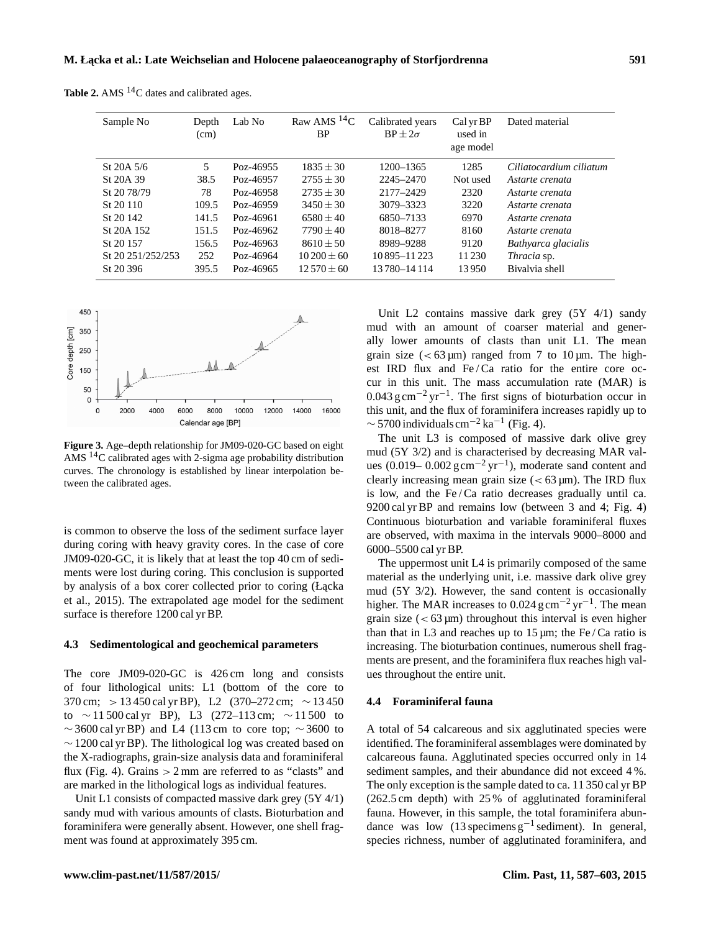| Sample No         | Depth<br>(cm) | Lab No    | Raw AMS $^{14}$ C<br>BP | Calibrated years<br>$BP \pm 2\sigma$ | Cal yr BP<br>used in<br>age model | Dated material          |
|-------------------|---------------|-----------|-------------------------|--------------------------------------|-----------------------------------|-------------------------|
| St $20A$ 5/6      | 5.            | Poz-46955 | $1835 \pm 30$           | 1200-1365                            | 1285                              | Ciliatocardium ciliatum |
| St 20A 39         | 38.5          | Poz-46957 | $2755 \pm 30$           | 2245-2470                            | Not used                          | Astarte crenata         |
| St 20 78/79       | 78            | Poz-46958 | $2735 \pm 30$           | 2177-2429                            | 2320                              | Astarte crenata         |
| St 20 110         | 109.5         | Poz-46959 | $3450 \pm 30$           | 3079-3323                            | 3220                              | Astarte crenata         |
| St 20 142         | 141.5         | Poz-46961 | $6580 \pm 40$           | 6850-7133                            | 6970                              | Astarte crenata         |
| St 20A 152        | 151.5         | Poz-46962 | $7790 \pm 40$           | 8018-8277                            | 8160                              | Astarte crenata         |
| St 20 157         | 156.5         | Poz-46963 | $8610 \pm 50$           | 8989-9288                            | 9120                              | Bathyarca glacialis     |
| St 20 251/252/253 | 252           | Poz-46964 | $10\,200 \pm 60$        | 10895-11223                          | 11230                             | <i>Thracia</i> sp.      |
| St 20 396         | 395.5         | Poz-46965 | $12570 \pm 60$          | 13780-14114                          | 13950                             | Bivalvia shell          |

Table 2. AMS <sup>14</sup>C dates and calibrated ages.



**Figure 3.** Age–depth relationship for JM09-020-GC based on eight AMS <sup>14</sup>C calibrated ages with 2-sigma age probability distribution curves. The chronology is established by linear interpolation between the calibrated ages.

is common to observe the loss of the sediment surface layer during coring with heavy gravity cores. In the case of core JM09-020-GC, it is likely that at least the top 40 cm of sediments were lost during coring. This conclusion is supported by analysis of a box corer collected prior to coring (Łącka et al., 2015). The extrapolated age model for the sediment surface is therefore 1200 cal yr BP.

#### **4.3 Sedimentological and geochemical parameters**

The core JM09-020-GC is 426 cm long and consists of four lithological units: L1 (bottom of the core to 370 cm; > 13 450 cal yr BP), L2 (370–272 cm; ∼ 13 450 to ∼ 11 500 cal yr BP), L3 (272–113 cm; ∼ 11 500 to  $\sim$  3600 cal yr BP) and L4 (113 cm to core top;  $\sim$  3600 to ∼ 1200 cal yr BP). The lithological log was created based on the X-radiographs, grain-size analysis data and foraminiferal flux (Fig. 4). Grains  $> 2$  mm are referred to as "clasts" and are marked in the lithological logs as individual features.

Unit L1 consists of compacted massive dark grey (5Y 4/1) sandy mud with various amounts of clasts. Bioturbation and foraminifera were generally absent. However, one shell fragment was found at approximately 395 cm.

Unit L2 contains massive dark grey (5Y 4/1) sandy mud with an amount of coarser material and generally lower amounts of clasts than unit L1. The mean grain size ( $<$  63  $\mu$ m) ranged from 7 to 10  $\mu$ m. The highest IRD flux and Fe/Ca ratio for the entire core occur in this unit. The mass accumulation rate (MAR) is  $0.043$  g cm<sup>-2</sup> yr<sup>-1</sup>. The first signs of bioturbation occur in this unit, and the flux of foraminifera increases rapidly up to  $\sim$  5700 individuals cm<sup>-2</sup> ka<sup>-1</sup> (Fig. 4).

The unit L3 is composed of massive dark olive grey mud (5Y 3/2) and is characterised by decreasing MAR values (0.019– 0.002  $g \text{ cm}^{-2} \text{ yr}^{-1}$ ), moderate sand content and clearly increasing mean grain size  $(< 63 \,\mu m$ ). The IRD flux is low, and the  $Fe/Ca$  ratio decreases gradually until ca. 9200 cal yr BP and remains low (between 3 and 4; Fig. 4) Continuous bioturbation and variable foraminiferal fluxes are observed, with maxima in the intervals 9000–8000 and 6000–5500 cal yr BP.

The uppermost unit L4 is primarily composed of the same material as the underlying unit, i.e. massive dark olive grey mud (5Y 3/2). However, the sand content is occasionally higher. The MAR increases to 0.024 g cm<sup>-2</sup> yr<sup>-1</sup>. The mean grain size  $(< 63 \,\text{\ensuremath{\mu}m})$  throughout this interval is even higher than that in L3 and reaches up to  $15 \mu m$ ; the Fe/Ca ratio is increasing. The bioturbation continues, numerous shell fragments are present, and the foraminifera flux reaches high values throughout the entire unit.

#### **4.4 Foraminiferal fauna**

A total of 54 calcareous and six agglutinated species were identified. The foraminiferal assemblages were dominated by calcareous fauna. Agglutinated species occurred only in 14 sediment samples, and their abundance did not exceed 4 %. The only exception is the sample dated to ca. 11 350 cal yr BP (262.5 cm depth) with 25 % of agglutinated foraminiferal fauna. However, in this sample, the total foraminifera abundance was low  $(13 \text{ specimens g}^{-1} \text{ sediment})$ . In general, species richness, number of agglutinated foraminifera, and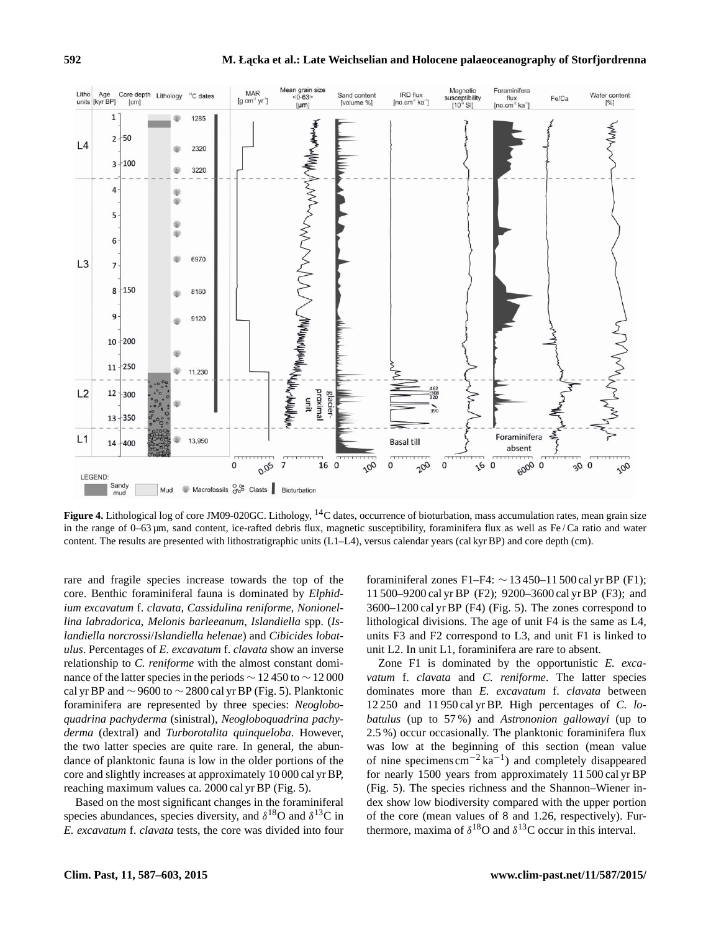

Figure 4. Lithological log of core JM09-020GC. Lithology, <sup>14</sup>C dates, occurrence of bioturbation, mass accumulation rates, mean grain size in the range of 0–63 µm, sand content, ice-rafted debris flux, magnetic susceptibility, foraminifera flux as well as Fe / Ca ratio and water content. The results are presented with lithostratigraphic units (L1–L4), versus calendar years (cal kyr BP) and core depth (cm).

rare and fragile species increase towards the top of the core. Benthic foraminiferal fauna is dominated by *Elphidium excavatum* f. *clavata*, *Cassidulina reniforme*, *Nonionellina labradorica*, *Melonis barleeanum*, *Islandiella* spp. (*Islandiella norcrossi*/*Islandiella helenae*) and *Cibicides lobatulus*. Percentages of *E. excavatum* f. *clavata* show an inverse relationship to *C. reniforme* with the almost constant dominance of the latter species in the periods ∼ 12 450 to ∼ 12 000 cal yr BP and  $\sim$  9600 to  $\sim$  2800 cal yr BP (Fig. 5). Planktonic foraminifera are represented by three species: *Neogloboquadrina pachyderma* (sinistral), *Neogloboquadrina pachyderma* (dextral) and *Turborotalita quinqueloba*. However, the two latter species are quite rare. In general, the abundance of planktonic fauna is low in the older portions of the core and slightly increases at approximately 10 000 cal yr BP, reaching maximum values ca. 2000 cal yr BP (Fig. 5).

Based on the most significant changes in the foraminiferal species abundances, species diversity, and  $\delta^{18}$ O and  $\delta^{13}$ C in *E. excavatum* f. *clavata* tests, the core was divided into four

foraminiferal zones F1–F4: ∼ 13 450–11 500 cal yr BP (F1); 11 500–9200 cal yr BP (F2); 9200–3600 cal yr BP (F3); and 3600–1200 cal yr BP (F4) (Fig. 5). The zones correspond to lithological divisions. The age of unit F4 is the same as L4, units F3 and F2 correspond to L3, and unit F1 is linked to unit L2. In unit L1, foraminifera are rare to absent.

Zone F1 is dominated by the opportunistic *E. excavatum* f. *clavata* and *C. reniforme*. The latter species dominates more than *E. excavatum* f. *clavata* between 12 250 and 11 950 cal yr BP. High percentages of *C. lobatulus* (up to 57 %) and *Astrononion gallowayi* (up to 2.5 %) occur occasionally. The planktonic foraminifera flux was low at the beginning of this section (mean value of nine specimens cm−<sup>2</sup> ka−<sup>1</sup> ) and completely disappeared for nearly 1500 years from approximately 11 500 cal yr BP (Fig. 5). The species richness and the Shannon–Wiener index show low biodiversity compared with the upper portion of the core (mean values of 8 and 1.26, respectively). Furthermore, maxima of  $\delta^{18}$ O and  $\delta^{13}$ C occur in this interval.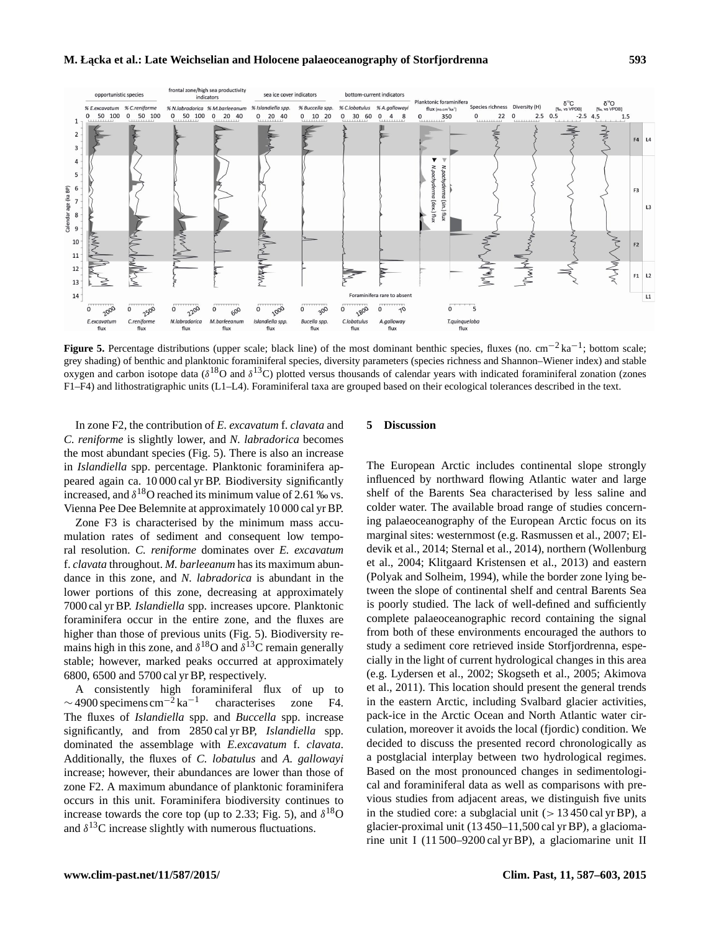

**Figure 5.** Percentage distributions (upper scale; black line) of the most dominant benthic species, fluxes (no. cm<sup>-2</sup> ka<sup>-1</sup>; bottom scale; grey shading) of benthic and planktonic foraminiferal species, diversity parameters (species richness and Shannon–Wiener index) and stable oxygen and carbon isotope data ( $\delta^{18}O$  and  $\delta^{13}C$ ) plotted versus thousands of calendar years with indicated foraminiferal zonation (zones F1–F4) and lithostratigraphic units (L1–L4). Foraminiferal taxa are grouped based on their ecological tolerances described in the text.

In zone F2, the contribution of *E. excavatum* f. *clavata* and *C. reniforme* is slightly lower, and *N. labradorica* becomes the most abundant species (Fig. 5). There is also an increase in *Islandiella* spp. percentage. Planktonic foraminifera appeared again ca. 10 000 cal yr BP. Biodiversity significantly increased, and  $\delta^{18}$ O reached its minimum value of 2.61 ‰ vs. Vienna Pee Dee Belemnite at approximately 10 000 cal yr BP.

Zone F3 is characterised by the minimum mass accumulation rates of sediment and consequent low temporal resolution. *C. reniforme* dominates over *E. excavatum* f. *clavata* throughout. *M. barleeanum* has its maximum abundance in this zone, and *N. labradorica* is abundant in the lower portions of this zone, decreasing at approximately 7000 cal yr BP. *Islandiella* spp. increases upcore. Planktonic foraminifera occur in the entire zone, and the fluxes are higher than those of previous units (Fig. 5). Biodiversity remains high in this zone, and  $\delta^{18}$ O and  $\delta^{13}$ C remain generally stable; however, marked peaks occurred at approximately 6800, 6500 and 5700 cal yr BP, respectively.

A consistently high foraminiferal flux of up to  $\sim$  4900 specimens cm<sup>-2</sup> ka<sup>-1</sup> characterises zone F4. The fluxes of *Islandiella* spp. and *Buccella* spp. increase significantly, and from 2850 cal yr BP, *Islandiella* spp. dominated the assemblage with *E.excavatum* f. *clavata*. Additionally, the fluxes of *C. lobatulus* and *A. gallowayi* increase; however, their abundances are lower than those of zone F2. A maximum abundance of planktonic foraminifera occurs in this unit. Foraminifera biodiversity continues to increase towards the core top (up to 2.33; Fig. 5), and  $\delta^{18}O$ and  $\delta^{13}$ C increase slightly with numerous fluctuations.

#### **5 Discussion**

The European Arctic includes continental slope strongly influenced by northward flowing Atlantic water and large shelf of the Barents Sea characterised by less saline and colder water. The available broad range of studies concerning palaeoceanography of the European Arctic focus on its marginal sites: westernmost (e.g. Rasmussen et al., 2007; Eldevik et al., 2014; Sternal et al., 2014), northern (Wollenburg et al., 2004; Klitgaard Kristensen et al., 2013) and eastern (Polyak and Solheim, 1994), while the border zone lying between the slope of continental shelf and central Barents Sea is poorly studied. The lack of well-defined and sufficiently complete palaeoceanographic record containing the signal from both of these environments encouraged the authors to study a sediment core retrieved inside Storfjordrenna, especially in the light of current hydrological changes in this area (e.g. Lydersen et al., 2002; Skogseth et al., 2005; Akimova et al., 2011). This location should present the general trends in the eastern Arctic, including Svalbard glacier activities, pack-ice in the Arctic Ocean and North Atlantic water circulation, moreover it avoids the local (fjordic) condition. We decided to discuss the presented record chronologically as a postglacial interplay between two hydrological regimes. Based on the most pronounced changes in sedimentological and foraminiferal data as well as comparisons with previous studies from adjacent areas, we distinguish five units in the studied core: a subglacial unit  $(> 13450 \text{ cal yr BP})$ , a glacier-proximal unit (13 450–11,500 cal yr BP), a glaciomarine unit I (11 500–9200 cal yr BP), a glaciomarine unit II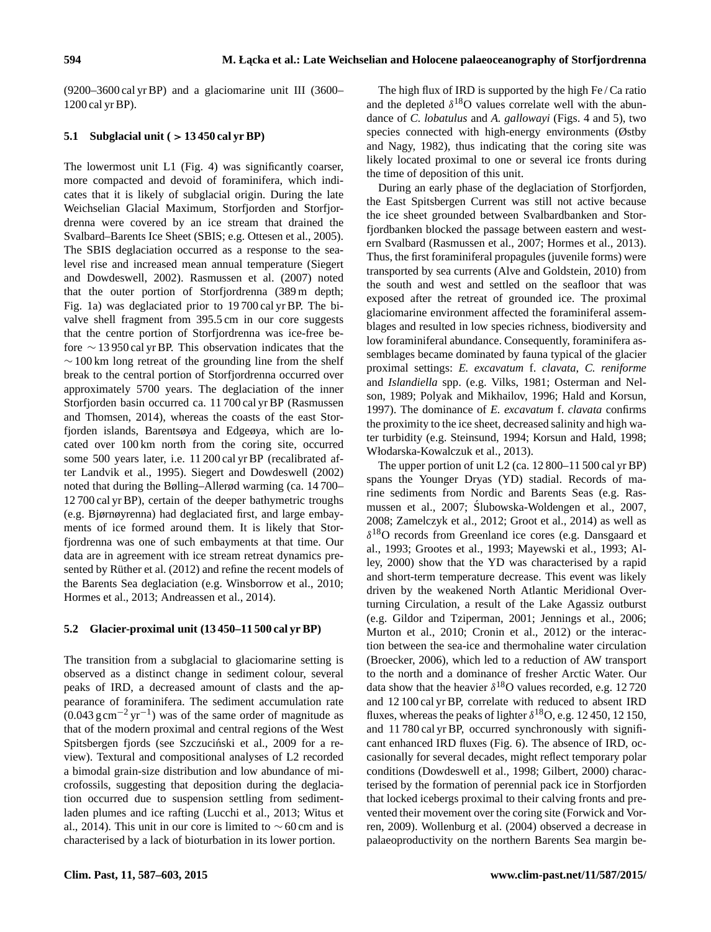(9200–3600 cal yr BP) and a glaciomarine unit III (3600– 1200 cal yr BP).

# **5.1 Subglacial unit (** > **13 450 cal yr BP)**

The lowermost unit L1 (Fig. 4) was significantly coarser, more compacted and devoid of foraminifera, which indicates that it is likely of subglacial origin. During the late Weichselian Glacial Maximum, Storfjorden and Storfjordrenna were covered by an ice stream that drained the Svalbard–Barents Ice Sheet (SBIS; e.g. Ottesen et al., 2005). The SBIS deglaciation occurred as a response to the sealevel rise and increased mean annual temperature (Siegert and Dowdeswell, 2002). Rasmussen et al. (2007) noted that the outer portion of Storfjordrenna (389 m depth; Fig. 1a) was deglaciated prior to 19 700 cal yr BP. The bivalve shell fragment from 395.5 cm in our core suggests that the centre portion of Storfjordrenna was ice-free before ∼ 13 950 cal yr BP. This observation indicates that the  $\sim$  100 km long retreat of the grounding line from the shelf break to the central portion of Storfjordrenna occurred over approximately 5700 years. The deglaciation of the inner Storfjorden basin occurred ca. 11 700 cal yr BP (Rasmussen and Thomsen, 2014), whereas the coasts of the east Storfjorden islands, Barentsøya and Edgeøya, which are located over 100 km north from the coring site, occurred some 500 years later, i.e. 11 200 cal yr BP (recalibrated after Landvik et al., 1995). Siegert and Dowdeswell (2002) noted that during the Bølling–Allerød warming (ca. 14 700– 12 700 cal yr BP), certain of the deeper bathymetric troughs (e.g. Bjørnøyrenna) had deglaciated first, and large embayments of ice formed around them. It is likely that Storfjordrenna was one of such embayments at that time. Our data are in agreement with ice stream retreat dynamics presented by Rüther et al. (2012) and refine the recent models of the Barents Sea deglaciation (e.g. Winsborrow et al., 2010; Hormes et al., 2013; Andreassen et al., 2014).

# **5.2 Glacier-proximal unit (13 450–11 500 cal yr BP)**

The transition from a subglacial to glaciomarine setting is observed as a distinct change in sediment colour, several peaks of IRD, a decreased amount of clasts and the appearance of foraminifera. The sediment accumulation rate  $(0.043 \text{ g cm}^{-2} \text{ yr}^{-1})$  was of the same order of magnitude as that of the modern proximal and central regions of the West Spitsbergen fjords (see Szczuciński et al., 2009 for a review). Textural and compositional analyses of L2 recorded a bimodal grain-size distribution and low abundance of microfossils, suggesting that deposition during the deglaciation occurred due to suspension settling from sedimentladen plumes and ice rafting (Lucchi et al., 2013; Witus et al., 2014). This unit in our core is limited to  $\sim$  60 cm and is characterised by a lack of bioturbation in its lower portion.

The high flux of IRD is supported by the high Fe / Ca ratio and the depleted  $\delta^{18}$ O values correlate well with the abundance of *C. lobatulus* and *A. gallowayi* (Figs. 4 and 5), two species connected with high-energy environments (Østby and Nagy, 1982), thus indicating that the coring site was likely located proximal to one or several ice fronts during the time of deposition of this unit.

During an early phase of the deglaciation of Storfjorden, the East Spitsbergen Current was still not active because the ice sheet grounded between Svalbardbanken and Storfjordbanken blocked the passage between eastern and western Svalbard (Rasmussen et al., 2007; Hormes et al., 2013). Thus, the first foraminiferal propagules (juvenile forms) were transported by sea currents (Alve and Goldstein, 2010) from the south and west and settled on the seafloor that was exposed after the retreat of grounded ice. The proximal glaciomarine environment affected the foraminiferal assemblages and resulted in low species richness, biodiversity and low foraminiferal abundance. Consequently, foraminifera assemblages became dominated by fauna typical of the glacier proximal settings: *E. excavatum* f. *clavata*, *C. reniforme* and *Islandiella* spp. (e.g. Vilks, 1981; Osterman and Nelson, 1989; Polyak and Mikhailov, 1996; Hald and Korsun, 1997). The dominance of *E. excavatum* f. *clavata* confirms the proximity to the ice sheet, decreased salinity and high water turbidity (e.g. Steinsund, 1994; Korsun and Hald, 1998; Włodarska-Kowalczuk et al., 2013).

The upper portion of unit L2 (ca. 12 800–11 500 cal yr BP) spans the Younger Dryas (YD) stadial. Records of marine sediments from Nordic and Barents Seas (e.g. Rasmussen et al., 2007; Slubowska-Woldengen et al., 2007, 2008; Zamelczyk et al., 2012; Groot et al., 2014) as well as δ <sup>18</sup>O records from Greenland ice cores (e.g. Dansgaard et al., 1993; Grootes et al., 1993; Mayewski et al., 1993; Alley, 2000) show that the YD was characterised by a rapid and short-term temperature decrease. This event was likely driven by the weakened North Atlantic Meridional Overturning Circulation, a result of the Lake Agassiz outburst (e.g. Gildor and Tziperman, 2001; Jennings et al., 2006; Murton et al., 2010; Cronin et al., 2012) or the interaction between the sea-ice and thermohaline water circulation (Broecker, 2006), which led to a reduction of AW transport to the north and a dominance of fresher Arctic Water. Our data show that the heavier  $\delta^{18}$ O values recorded, e.g. 12720 and 12 100 cal yr BP, correlate with reduced to absent IRD fluxes, whereas the peaks of lighter  $\delta^{18}O$ , e.g. 12450, 12150, and 11 780 cal yr BP, occurred synchronously with significant enhanced IRD fluxes (Fig. 6). The absence of IRD, occasionally for several decades, might reflect temporary polar conditions (Dowdeswell et al., 1998; Gilbert, 2000) characterised by the formation of perennial pack ice in Storfjorden that locked icebergs proximal to their calving fronts and prevented their movement over the coring site (Forwick and Vorren, 2009). Wollenburg et al. (2004) observed a decrease in palaeoproductivity on the northern Barents Sea margin be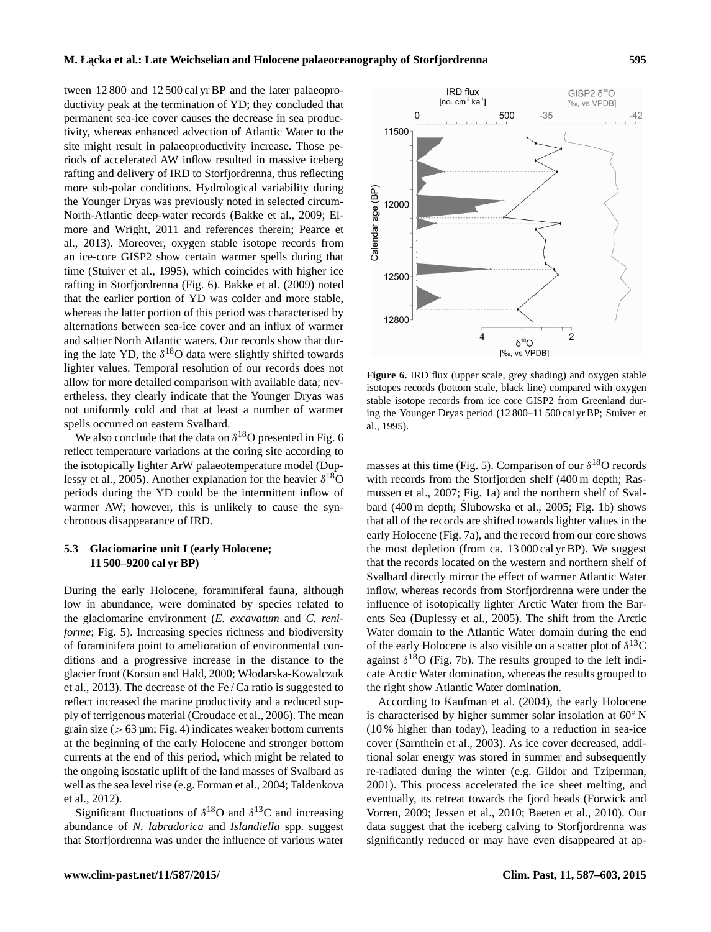tween 12 800 and 12 500 cal yr BP and the later palaeoproductivity peak at the termination of YD; they concluded that permanent sea-ice cover causes the decrease in sea productivity, whereas enhanced advection of Atlantic Water to the site might result in palaeoproductivity increase. Those periods of accelerated AW inflow resulted in massive iceberg rafting and delivery of IRD to Storfjordrenna, thus reflecting more sub-polar conditions. Hydrological variability during the Younger Dryas was previously noted in selected circum-North-Atlantic deep-water records (Bakke et al., 2009; Elmore and Wright, 2011 and references therein; Pearce et al., 2013). Moreover, oxygen stable isotope records from an ice-core GISP2 show certain warmer spells during that time (Stuiver et al., 1995), which coincides with higher ice rafting in Storfjordrenna (Fig. 6). Bakke et al. (2009) noted that the earlier portion of YD was colder and more stable, whereas the latter portion of this period was characterised by alternations between sea-ice cover and an influx of warmer and saltier North Atlantic waters. Our records show that during the late YD, the  $\delta^{18}$ O data were slightly shifted towards lighter values. Temporal resolution of our records does not allow for more detailed comparison with available data; nevertheless, they clearly indicate that the Younger Dryas was not uniformly cold and that at least a number of warmer spells occurred on eastern Svalbard.

We also conclude that the data on  $\delta^{18}O$  presented in Fig. 6 reflect temperature variations at the coring site according to the isotopically lighter ArW palaeotemperature model (Duplessy et al., 2005). Another explanation for the heavier  $\delta^{18}O$ periods during the YD could be the intermittent inflow of warmer AW; however, this is unlikely to cause the synchronous disappearance of IRD.

## **5.3 Glaciomarine unit I (early Holocene; 11 500–9200 cal yr BP)**

During the early Holocene, foraminiferal fauna, although low in abundance, were dominated by species related to the glaciomarine environment (*E. excavatum* and *C. reniforme*; Fig. 5). Increasing species richness and biodiversity of foraminifera point to amelioration of environmental conditions and a progressive increase in the distance to the glacier front (Korsun and Hald, 2000; Włodarska-Kowalczuk et al., 2013). The decrease of the Fe / Ca ratio is suggested to reflect increased the marine productivity and a reduced supply of terrigenous material (Croudace et al., 2006). The mean grain size ( $> 63 \mu m$ ; Fig. 4) indicates weaker bottom currents at the beginning of the early Holocene and stronger bottom currents at the end of this period, which might be related to the ongoing isostatic uplift of the land masses of Svalbard as well as the sea level rise (e.g. Forman et al., 2004; Taldenkova et al., 2012).

Significant fluctuations of  $\delta^{18}$ O and  $\delta^{13}$ C and increasing abundance of *N. labradorica* and *Islandiella* spp. suggest that Storfjordrenna was under the influence of various water



**Figure 6.** IRD flux (upper scale, grey shading) and oxygen stable isotopes records (bottom scale, black line) compared with oxygen stable isotope records from ice core GISP2 from Greenland during the Younger Dryas period (12 800–11 500 cal yr BP; Stuiver et al., 1995).

masses at this time (Fig. 5). Comparison of our  $\delta^{18}$ O records with records from the Storfjorden shelf (400 m depth; Rasmussen et al., 2007; Fig. 1a) and the northern shelf of Svalbard (400 m depth; Slubowska et al., 2005; Fig. 1b) shows ´ that all of the records are shifted towards lighter values in the early Holocene (Fig. 7a), and the record from our core shows the most depletion (from ca. 13 000 cal yr BP). We suggest that the records located on the western and northern shelf of Svalbard directly mirror the effect of warmer Atlantic Water inflow, whereas records from Storfjordrenna were under the influence of isotopically lighter Arctic Water from the Barents Sea (Duplessy et al., 2005). The shift from the Arctic Water domain to the Atlantic Water domain during the end of the early Holocene is also visible on a scatter plot of  $\delta^{13}$ C against  $\delta^{18}O$  (Fig. 7b). The results grouped to the left indicate Arctic Water domination, whereas the results grouped to the right show Atlantic Water domination.

According to Kaufman et al. (2004), the early Holocene is characterised by higher summer solar insolation at 60◦ N (10 % higher than today), leading to a reduction in sea-ice cover (Sarnthein et al., 2003). As ice cover decreased, additional solar energy was stored in summer and subsequently re-radiated during the winter (e.g. Gildor and Tziperman, 2001). This process accelerated the ice sheet melting, and eventually, its retreat towards the fjord heads (Forwick and Vorren, 2009; Jessen et al., 2010; Baeten et al., 2010). Our data suggest that the iceberg calving to Storfjordrenna was significantly reduced or may have even disappeared at ap-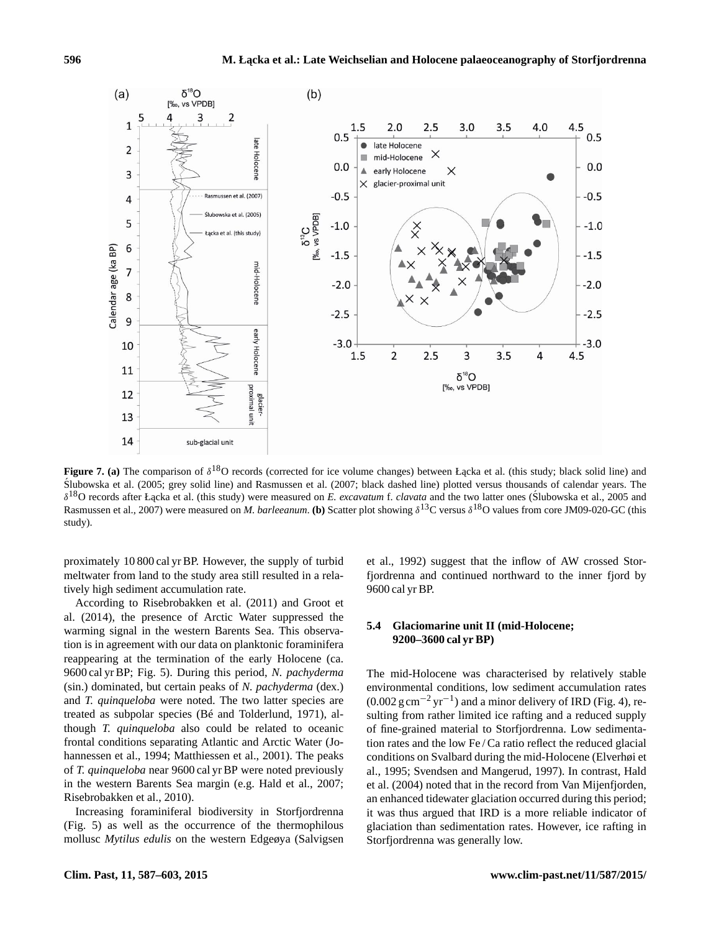

**Figure 7. (a)** The comparison of  $\delta^{18}O$  records (corrected for ice volume changes) between Łącka et al. (this study; black solid line) and Slubowska et al. (2005; grey solid line) and Rasmussen et al. (2007; black dashed line) plotted versus thousands of calendar years. The ´  $\delta^{18}$ O records after Łącka et al. (this study) were measured on *E. excavatum* f. *clavata* and the two latter ones (Ślubowska et al., 2005 and Rasmussen et al., 2007) were measured on *M. barleeanum.* (b) Scatter plot showing  $\delta^{13}C$  versus  $\delta^{18}O$  values from core JM09-020-GC (this study).

proximately 10 800 cal yr BP. However, the supply of turbid meltwater from land to the study area still resulted in a relatively high sediment accumulation rate.

According to Risebrobakken et al. (2011) and Groot et al. (2014), the presence of Arctic Water suppressed the warming signal in the western Barents Sea. This observation is in agreement with our data on planktonic foraminifera reappearing at the termination of the early Holocene (ca. 9600 cal yr BP; Fig. 5). During this period, *N. pachyderma* (sin.) dominated, but certain peaks of *N. pachyderma* (dex.) and *T. quinqueloba* were noted. The two latter species are treated as subpolar species (Bé and Tolderlund, 1971), although *T. quinqueloba* also could be related to oceanic frontal conditions separating Atlantic and Arctic Water (Johannessen et al., 1994; Matthiessen et al., 2001). The peaks of *T. quinqueloba* near 9600 cal yr BP were noted previously in the western Barents Sea margin (e.g. Hald et al., 2007; Risebrobakken et al., 2010).

Increasing foraminiferal biodiversity in Storfjordrenna (Fig. 5) as well as the occurrence of the thermophilous mollusc *Mytilus edulis* on the western Edgeøya (Salvigsen et al., 1992) suggest that the inflow of AW crossed Storfjordrenna and continued northward to the inner fjord by 9600 cal yr BP.

## **5.4 Glaciomarine unit II (mid-Holocene; 9200–3600 cal yr BP)**

The mid-Holocene was characterised by relatively stable environmental conditions, low sediment accumulation rates  $(0.002 \text{ g cm}^{-2} \text{ yr}^{-1})$  and a minor delivery of IRD (Fig. 4), resulting from rather limited ice rafting and a reduced supply of fine-grained material to Storfjordrenna. Low sedimentation rates and the low Fe / Ca ratio reflect the reduced glacial conditions on Svalbard during the mid-Holocene (Elverhøi et al., 1995; Svendsen and Mangerud, 1997). In contrast, Hald et al. (2004) noted that in the record from Van Mijenfjorden, an enhanced tidewater glaciation occurred during this period; it was thus argued that IRD is a more reliable indicator of glaciation than sedimentation rates. However, ice rafting in Storfjordrenna was generally low.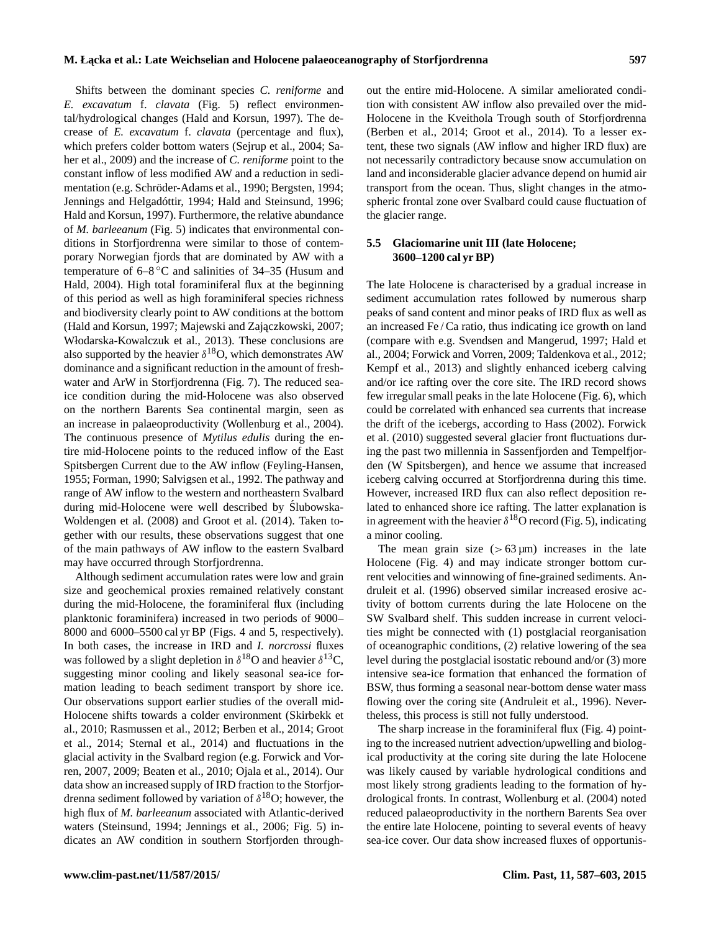Shifts between the dominant species *C. reniforme* and *E. excavatum* f. *clavata* (Fig. 5) reflect environmental/hydrological changes (Hald and Korsun, 1997). The decrease of *E. excavatum* f. *clavata* (percentage and flux), which prefers colder bottom waters (Sejrup et al., 2004; Saher et al., 2009) and the increase of *C. reniforme* point to the constant inflow of less modified AW and a reduction in sedimentation (e.g. Schröder-Adams et al., 1990; Bergsten, 1994; Jennings and Helgadóttir, 1994; Hald and Steinsund, 1996; Hald and Korsun, 1997). Furthermore, the relative abundance of *M. barleeanum* (Fig. 5) indicates that environmental conditions in Storfjordrenna were similar to those of contemporary Norwegian fjords that are dominated by AW with a temperature of  $6-8$ °C and salinities of 34–35 (Husum and Hald, 2004). High total foraminiferal flux at the beginning of this period as well as high foraminiferal species richness and biodiversity clearly point to AW conditions at the bottom (Hald and Korsun, 1997; Majewski and Zajączkowski, 2007; Włodarska-Kowalczuk et al., 2013). These conclusions are also supported by the heavier  $\delta^{18}O$ , which demonstrates AW dominance and a significant reduction in the amount of freshwater and ArW in Storfjordrenna (Fig. 7). The reduced seaice condition during the mid-Holocene was also observed on the northern Barents Sea continental margin, seen as an increase in palaeoproductivity (Wollenburg et al., 2004). The continuous presence of *Mytilus edulis* during the entire mid-Holocene points to the reduced inflow of the East Spitsbergen Current due to the AW inflow (Feyling-Hansen, 1955; Forman, 1990; Salvigsen et al., 1992. The pathway and range of AW inflow to the western and northeastern Svalbard during mid-Holocene were well described by Slubowska-Woldengen et al. (2008) and Groot et al. (2014). Taken together with our results, these observations suggest that one of the main pathways of AW inflow to the eastern Svalbard may have occurred through Storfjordrenna.

Although sediment accumulation rates were low and grain size and geochemical proxies remained relatively constant during the mid-Holocene, the foraminiferal flux (including planktonic foraminifera) increased in two periods of 9000– 8000 and 6000–5500 cal yr BP (Figs. 4 and 5, respectively). In both cases, the increase in IRD and *I. norcrossi* fluxes was followed by a slight depletion in  $\delta^{18}$ O and heavier  $\delta^{13}$ C, suggesting minor cooling and likely seasonal sea-ice formation leading to beach sediment transport by shore ice. Our observations support earlier studies of the overall mid-Holocene shifts towards a colder environment (Skirbekk et al., 2010; Rasmussen et al., 2012; Berben et al., 2014; Groot et al., 2014; Sternal et al., 2014) and fluctuations in the glacial activity in the Svalbard region (e.g. Forwick and Vorren, 2007, 2009; Beaten et al., 2010; Ojala et al., 2014). Our data show an increased supply of IRD fraction to the Storfjordrenna sediment followed by variation of  $\delta^{18}O$ ; however, the high flux of *M. barleeanum* associated with Atlantic-derived waters (Steinsund, 1994; Jennings et al., 2006; Fig. 5) indicates an AW condition in southern Storfjorden throughout the entire mid-Holocene. A similar ameliorated condition with consistent AW inflow also prevailed over the mid-Holocene in the Kveithola Trough south of Storfjordrenna (Berben et al., 2014; Groot et al., 2014). To a lesser extent, these two signals (AW inflow and higher IRD flux) are not necessarily contradictory because snow accumulation on land and inconsiderable glacier advance depend on humid air transport from the ocean. Thus, slight changes in the atmospheric frontal zone over Svalbard could cause fluctuation of the glacier range.

## **5.5 Glaciomarine unit III (late Holocene; 3600–1200 cal yr BP)**

The late Holocene is characterised by a gradual increase in sediment accumulation rates followed by numerous sharp peaks of sand content and minor peaks of IRD flux as well as an increased Fe / Ca ratio, thus indicating ice growth on land (compare with e.g. Svendsen and Mangerud, 1997; Hald et al., 2004; Forwick and Vorren, 2009; Taldenkova et al., 2012; Kempf et al., 2013) and slightly enhanced iceberg calving and/or ice rafting over the core site. The IRD record shows few irregular small peaks in the late Holocene (Fig. 6), which could be correlated with enhanced sea currents that increase the drift of the icebergs, according to Hass (2002). Forwick et al. (2010) suggested several glacier front fluctuations during the past two millennia in Sassenfjorden and Tempelfjorden (W Spitsbergen), and hence we assume that increased iceberg calving occurred at Storfjordrenna during this time. However, increased IRD flux can also reflect deposition related to enhanced shore ice rafting. The latter explanation is in agreement with the heavier  $\delta^{18}$ O record (Fig. 5), indicating a minor cooling.

The mean grain size  $(> 63 \,\mu m)$  increases in the late Holocene (Fig. 4) and may indicate stronger bottom current velocities and winnowing of fine-grained sediments. Andruleit et al. (1996) observed similar increased erosive activity of bottom currents during the late Holocene on the SW Svalbard shelf. This sudden increase in current velocities might be connected with (1) postglacial reorganisation of oceanographic conditions, (2) relative lowering of the sea level during the postglacial isostatic rebound and/or (3) more intensive sea-ice formation that enhanced the formation of BSW, thus forming a seasonal near-bottom dense water mass flowing over the coring site (Andruleit et al., 1996). Nevertheless, this process is still not fully understood.

The sharp increase in the foraminiferal flux (Fig. 4) pointing to the increased nutrient advection/upwelling and biological productivity at the coring site during the late Holocene was likely caused by variable hydrological conditions and most likely strong gradients leading to the formation of hydrological fronts. In contrast, Wollenburg et al. (2004) noted reduced palaeoproductivity in the northern Barents Sea over the entire late Holocene, pointing to several events of heavy sea-ice cover. Our data show increased fluxes of opportunis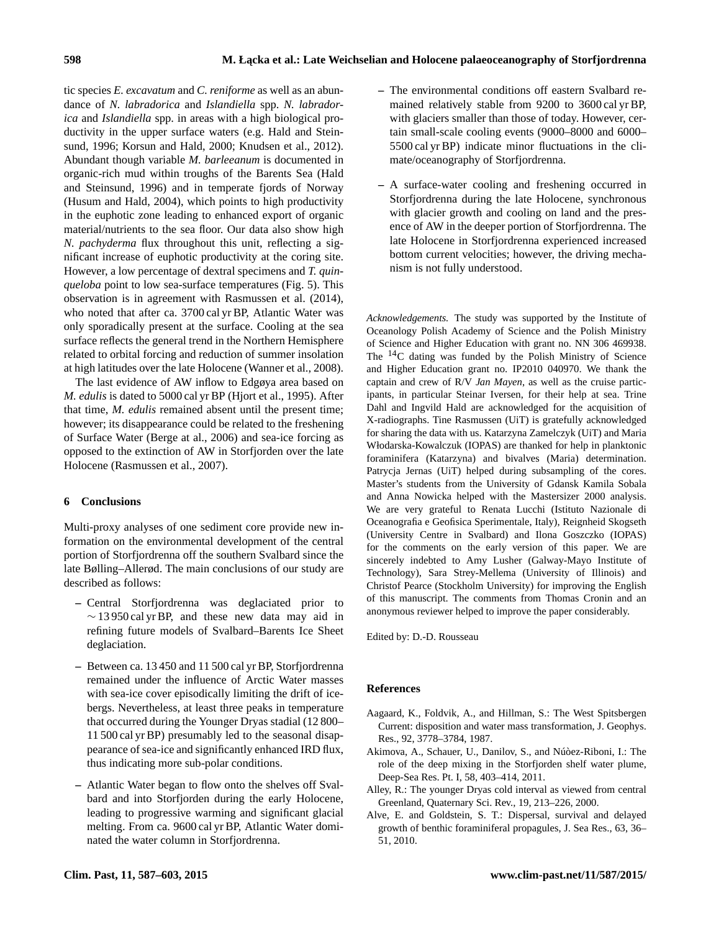tic species *E. excavatum* and *C. reniforme* as well as an abundance of *N. labradorica* and *Islandiella* spp. *N. labradorica* and *Islandiella* spp. in areas with a high biological productivity in the upper surface waters (e.g. Hald and Steinsund, 1996; Korsun and Hald, 2000; Knudsen et al., 2012). Abundant though variable *M. barleeanum* is documented in organic-rich mud within troughs of the Barents Sea (Hald and Steinsund, 1996) and in temperate fjords of Norway (Husum and Hald, 2004), which points to high productivity in the euphotic zone leading to enhanced export of organic material/nutrients to the sea floor. Our data also show high *N. pachyderma* flux throughout this unit, reflecting a significant increase of euphotic productivity at the coring site. However, a low percentage of dextral specimens and *T. quinqueloba* point to low sea-surface temperatures (Fig. 5). This observation is in agreement with Rasmussen et al. (2014), who noted that after ca. 3700 cal yr BP, Atlantic Water was only sporadically present at the surface. Cooling at the sea surface reflects the general trend in the Northern Hemisphere related to orbital forcing and reduction of summer insolation at high latitudes over the late Holocene (Wanner et al., 2008).

The last evidence of AW inflow to Edgøya area based on *M. edulis* is dated to 5000 cal yr BP (Hjort et al., 1995). After that time, *M. edulis* remained absent until the present time; however; its disappearance could be related to the freshening of Surface Water (Berge at al., 2006) and sea-ice forcing as opposed to the extinction of AW in Storfjorden over the late Holocene (Rasmussen et al., 2007).

## **6 Conclusions**

Multi-proxy analyses of one sediment core provide new information on the environmental development of the central portion of Storfjordrenna off the southern Svalbard since the late Bølling–Allerød. The main conclusions of our study are described as follows:

- **–** Central Storfjordrenna was deglaciated prior to  $\sim$  13 950 cal yr BP, and these new data may aid in refining future models of Svalbard–Barents Ice Sheet deglaciation.
- **–** Between ca. 13 450 and 11 500 cal yr BP, Storfjordrenna remained under the influence of Arctic Water masses with sea-ice cover episodically limiting the drift of icebergs. Nevertheless, at least three peaks in temperature that occurred during the Younger Dryas stadial (12 800– 11 500 cal yr BP) presumably led to the seasonal disappearance of sea-ice and significantly enhanced IRD flux, thus indicating more sub-polar conditions.
- **–** Atlantic Water began to flow onto the shelves off Svalbard and into Storfjorden during the early Holocene, leading to progressive warming and significant glacial melting. From ca. 9600 cal yr BP, Atlantic Water dominated the water column in Storfjordrenna.
- **–** The environmental conditions off eastern Svalbard remained relatively stable from 9200 to 3600 cal yr BP, with glaciers smaller than those of today. However, certain small-scale cooling events (9000–8000 and 6000– 5500 cal yr BP) indicate minor fluctuations in the climate/oceanography of Storfjordrenna.
- **–** A surface-water cooling and freshening occurred in Storfjordrenna during the late Holocene, synchronous with glacier growth and cooling on land and the presence of AW in the deeper portion of Storfjordrenna. The late Holocene in Storfjordrenna experienced increased bottom current velocities; however, the driving mechanism is not fully understood.

*Acknowledgements.* The study was supported by the Institute of Oceanology Polish Academy of Science and the Polish Ministry of Science and Higher Education with grant no. NN 306 469938. The  $^{14}$ C dating was funded by the Polish Ministry of Science and Higher Education grant no. IP2010 040970. We thank the captain and crew of R/V *Jan Mayen*, as well as the cruise participants, in particular Steinar Iversen, for their help at sea. Trine Dahl and Ingvild Hald are acknowledged for the acquisition of X-radiographs. Tine Rasmussen (UiT) is gratefully acknowledged for sharing the data with us. Katarzyna Zamelczyk (UiT) and Maria Włodarska-Kowalczuk (IOPAS) are thanked for help in planktonic foraminifera (Katarzyna) and bivalves (Maria) determination. Patrycja Jernas (UiT) helped during subsampling of the cores. Master's students from the University of Gdansk Kamila Sobala and Anna Nowicka helped with the Mastersizer 2000 analysis. We are very grateful to Renata Lucchi (Istituto Nazionale di Oceanografia e Geofisica Sperimentale, Italy), Reignheid Skogseth (University Centre in Svalbard) and Ilona Goszczko (IOPAS) for the comments on the early version of this paper. We are sincerely indebted to Amy Lusher (Galway-Mayo Institute of Technology), Sara Strey-Mellema (University of Illinois) and Christof Pearce (Stockholm University) for improving the English of this manuscript. The comments from Thomas Cronin and an anonymous reviewer helped to improve the paper considerably.

Edited by: D.-D. Rousseau

## **References**

- Aagaard, K., Foldvik, A., and Hillman, S.: The West Spitsbergen Current: disposition and water mass transformation, J. Geophys. Res., 92, 3778–3784, 1987.
- Akimova, A., Schauer, U., Danilov, S., and Núòez-Riboni, I.: The role of the deep mixing in the Storfjorden shelf water plume, Deep-Sea Res. Pt. I, 58, 403–414, 2011.
- Alley, R.: The younger Dryas cold interval as viewed from central Greenland, Quaternary Sci. Rev., 19, 213–226, 2000.
- Alve, E. and Goldstein, S. T.: Dispersal, survival and delayed growth of benthic foraminiferal propagules, J. Sea Res., 63, 36– 51, 2010.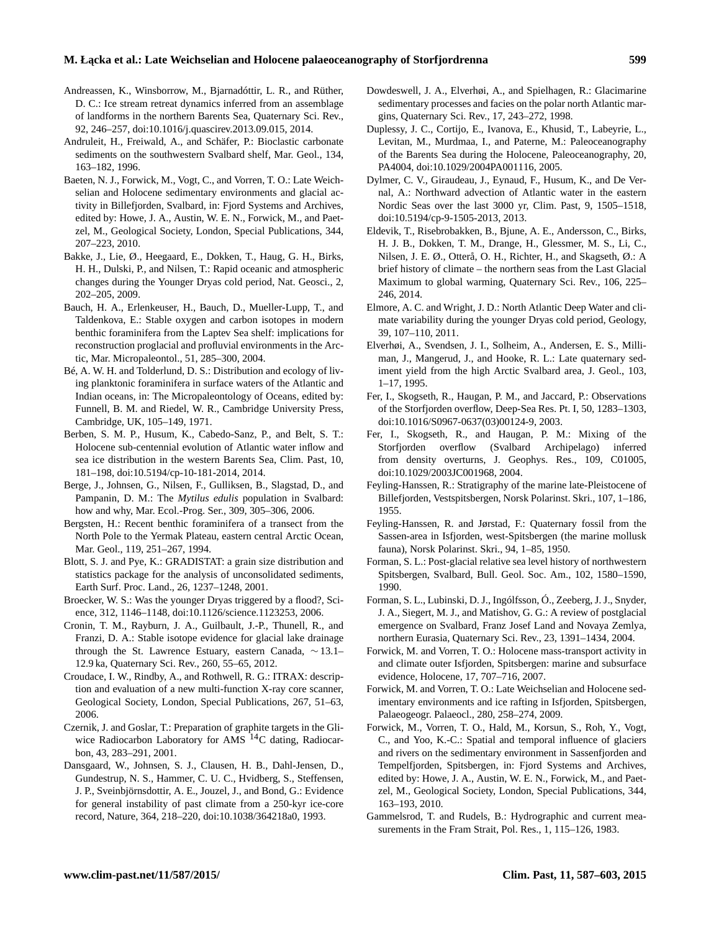- Andreassen, K., Winsborrow, M., Bjarnadóttir, L. R., and Rüther, D. C.: Ice stream retreat dynamics inferred from an assemblage of landforms in the northern Barents Sea, Quaternary Sci. Rev., 92, 246–257, doi[:10.1016/j.quascirev.2013.09.015,](http://dx.doi.org/10.1016/j.quascirev.2013.09.015) 2014.
- Andruleit, H., Freiwald, A., and Schäfer, P.: Bioclastic carbonate sediments on the southwestern Svalbard shelf, Mar. Geol., 134, 163–182, 1996.
- Baeten, N. J., Forwick, M., Vogt, C., and Vorren, T. O.: Late Weichselian and Holocene sedimentary environments and glacial activity in Billefjorden, Svalbard, in: Fjord Systems and Archives, edited by: Howe, J. A., Austin, W. E. N., Forwick, M., and Paetzel, M., Geological Society, London, Special Publications, 344, 207–223, 2010.
- Bakke, J., Lie, Ø., Heegaard, E., Dokken, T., Haug, G. H., Birks, H. H., Dulski, P., and Nilsen, T.: Rapid oceanic and atmospheric changes during the Younger Dryas cold period, Nat. Geosci., 2, 202–205, 2009.
- Bauch, H. A., Erlenkeuser, H., Bauch, D., Mueller-Lupp, T., and Taldenkova, E.: Stable oxygen and carbon isotopes in modern benthic foraminifera from the Laptev Sea shelf: implications for reconstruction proglacial and profluvial environments in the Arctic, Mar. Micropaleontol., 51, 285–300, 2004.
- Bé, A. W. H. and Tolderlund, D. S.: Distribution and ecology of living planktonic foraminifera in surface waters of the Atlantic and Indian oceans, in: The Micropaleontology of Oceans, edited by: Funnell, B. M. and Riedel, W. R., Cambridge University Press, Cambridge, UK, 105–149, 1971.
- Berben, S. M. P., Husum, K., Cabedo-Sanz, P., and Belt, S. T.: Holocene sub-centennial evolution of Atlantic water inflow and sea ice distribution in the western Barents Sea, Clim. Past, 10, 181–198, doi[:10.5194/cp-10-181-2014,](http://dx.doi.org/10.5194/cp-10-181-2014) 2014.
- Berge, J., Johnsen, G., Nilsen, F., Gulliksen, B., Slagstad, D., and Pampanin, D. M.: The *Mytilus edulis* population in Svalbard: how and why, Mar. Ecol.-Prog. Ser., 309, 305–306, 2006.
- Bergsten, H.: Recent benthic foraminifera of a transect from the North Pole to the Yermak Plateau, eastern central Arctic Ocean, Mar. Geol., 119, 251–267, 1994.
- Blott, S. J. and Pye, K.: GRADISTAT: a grain size distribution and statistics package for the analysis of unconsolidated sediments, Earth Surf. Proc. Land., 26, 1237–1248, 2001.
- Broecker, W. S.: Was the younger Dryas triggered by a flood?, Science, 312, 1146–1148, doi[:10.1126/science.1123253,](http://dx.doi.org/10.1126/science.1123253) 2006.
- Cronin, T. M., Rayburn, J. A., Guilbault, J.-P., Thunell, R., and Franzi, D. A.: Stable isotope evidence for glacial lake drainage through the St. Lawrence Estuary, eastern Canada, ∼ 13.1– 12.9 ka, Quaternary Sci. Rev., 260, 55–65, 2012.
- Croudace, I. W., Rindby, A., and Rothwell, R. G.: ITRAX: description and evaluation of a new multi-function X-ray core scanner, Geological Society, London, Special Publications, 267, 51–63, 2006.
- Czernik, J. and Goslar, T.: Preparation of graphite targets in the Gliwice Radiocarbon Laboratory for AMS  $^{14}$ C dating, Radiocarbon, 43, 283–291, 2001.
- Dansgaard, W., Johnsen, S. J., Clausen, H. B., Dahl-Jensen, D., Gundestrup, N. S., Hammer, C. U. C., Hvidberg, S., Steffensen, J. P., Sveinbjörnsdottir, A. E., Jouzel, J., and Bond, G.: Evidence for general instability of past climate from a 250-kyr ice-core record, Nature, 364, 218–220, doi[:10.1038/364218a0,](http://dx.doi.org/10.1038/364218a0) 1993.
- Dowdeswell, J. A., Elverhøi, A., and Spielhagen, R.: Glacimarine sedimentary processes and facies on the polar north Atlantic margins, Quaternary Sci. Rev., 17, 243–272, 1998.
- Duplessy, J. C., Cortijo, E., Ivanova, E., Khusid, T., Labeyrie, L., Levitan, M., Murdmaa, I., and Paterne, M.: Paleoceanography of the Barents Sea during the Holocene, Paleoceanography, 20, PA4004, doi[:10.1029/2004PA001116,](http://dx.doi.org/10.1029/2004PA001116) 2005.
- Dylmer, C. V., Giraudeau, J., Eynaud, F., Husum, K., and De Vernal, A.: Northward advection of Atlantic water in the eastern Nordic Seas over the last 3000 yr, Clim. Past, 9, 1505–1518, doi[:10.5194/cp-9-1505-2013,](http://dx.doi.org/10.5194/cp-9-1505-2013) 2013.
- Eldevik, T., Risebrobakken, B., Bjune, A. E., Andersson, C., Birks, H. J. B., Dokken, T. M., Drange, H., Glessmer, M. S., Li, C., Nilsen, J. E. Ø., Otterå, O. H., Richter, H., and Skagseth, Ø.: A brief history of climate – the northern seas from the Last Glacial Maximum to global warming, Quaternary Sci. Rev., 106, 225– 246, 2014.
- Elmore, A. C. and Wright, J. D.: North Atlantic Deep Water and climate variability during the younger Dryas cold period, Geology, 39, 107–110, 2011.
- Elverhøi, A., Svendsen, J. I., Solheim, A., Andersen, E. S., Milliman, J., Mangerud, J., and Hooke, R. L.: Late quaternary sediment yield from the high Arctic Svalbard area, J. Geol., 103, 1–17, 1995.
- Fer, I., Skogseth, R., Haugan, P. M., and Jaccard, P.: Observations of the Storfjorden overflow, Deep-Sea Res. Pt. I, 50, 1283–1303, doi[:10.1016/S0967-0637\(03\)00124-9,](http://dx.doi.org/10.1016/S0967-0637(03)00124-9) 2003.
- Fer, I., Skogseth, R., and Haugan, P. M.: Mixing of the Storfjorden overflow (Svalbard Archipelago) inferred from density overturns, J. Geophys. Res., 109, C01005, doi[:10.1029/2003JC001968,](http://dx.doi.org/10.1029/2003JC001968) 2004.
- Feyling-Hanssen, R.: Stratigraphy of the marine late-Pleistocene of Billefjorden, Vestspitsbergen, Norsk Polarinst. Skri., 107, 1–186, 1955.
- Feyling-Hanssen, R. and Jørstad, F.: Quaternary fossil from the Sassen-area in Isfjorden, west-Spitsbergen (the marine mollusk fauna), Norsk Polarinst. Skri., 94, 1–85, 1950.
- Forman, S. L.: Post-glacial relative sea level history of northwestern Spitsbergen, Svalbard, Bull. Geol. Soc. Am., 102, 1580–1590, 1990.
- Forman, S. L., Lubinski, D. J., Ingólfsson, Ó., Zeeberg, J. J., Snyder, J. A., Siegert, M. J., and Matishov, G. G.: A review of postglacial emergence on Svalbard, Franz Josef Land and Novaya Zemlya, northern Eurasia, Quaternary Sci. Rev., 23, 1391–1434, 2004.
- Forwick, M. and Vorren, T. O.: Holocene mass-transport activity in and climate outer Isfjorden, Spitsbergen: marine and subsurface evidence, Holocene, 17, 707–716, 2007.
- Forwick, M. and Vorren, T. O.: Late Weichselian and Holocene sedimentary environments and ice rafting in Isfjorden, Spitsbergen, Palaeogeogr. Palaeocl., 280, 258–274, 2009.
- Forwick, M., Vorren, T. O., Hald, M., Korsun, S., Roh, Y., Vogt, C., and Yoo, K.-C.: Spatial and temporal influence of glaciers and rivers on the sedimentary environment in Sassenfjorden and Tempelfjorden, Spitsbergen, in: Fjord Systems and Archives, edited by: Howe, J. A., Austin, W. E. N., Forwick, M., and Paetzel, M., Geological Society, London, Special Publications, 344, 163–193, 2010.
- Gammelsrod, T. and Rudels, B.: Hydrographic and current measurements in the Fram Strait, Pol. Res., 1, 115–126, 1983.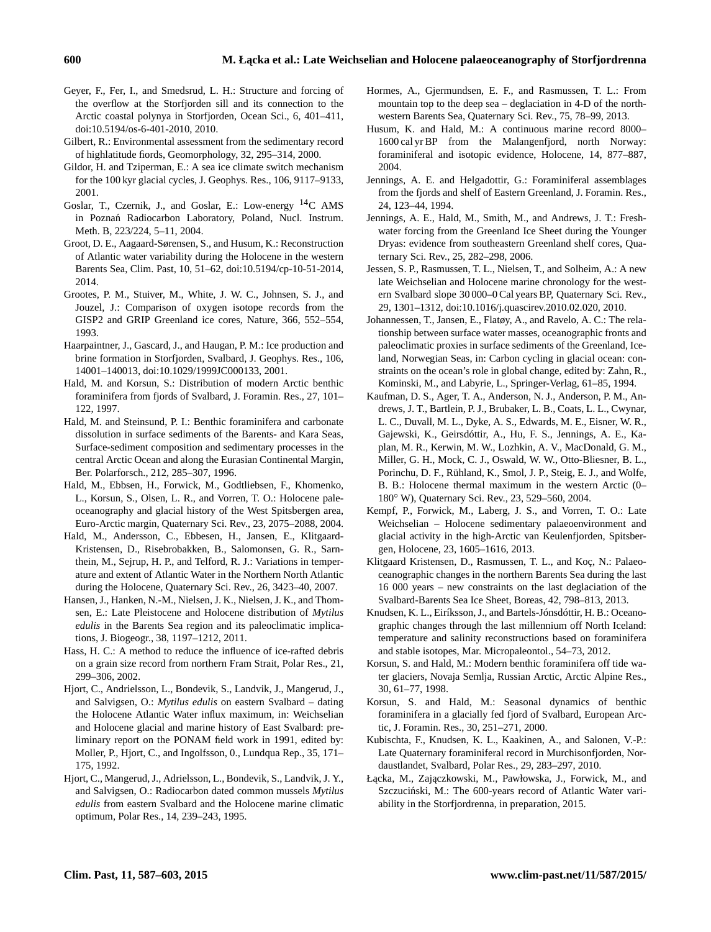- Geyer, F., Fer, I., and Smedsrud, L. H.: Structure and forcing of the overflow at the Storfjorden sill and its connection to the Arctic coastal polynya in Storfjorden, Ocean Sci., 6, 401–411, doi[:10.5194/os-6-401-2010,](http://dx.doi.org/10.5194/os-6-401-2010) 2010.
- Gilbert, R.: Environmental assessment from the sedimentary record of highlatitude fiords, Geomorphology, 32, 295–314, 2000.
- Gildor, H. and Tziperman, E.: A sea ice climate switch mechanism for the 100 kyr glacial cycles, J. Geophys. Res., 106, 9117–9133, 2001.
- Goslar, T., Czernik, J., and Goslar, E.: Low-energy <sup>14</sup>C AMS in Poznań Radiocarbon Laboratory, Poland, Nucl. Instrum. Meth. B, 223/224, 5–11, 2004.
- Groot, D. E., Aagaard-Sørensen, S., and Husum, K.: Reconstruction of Atlantic water variability during the Holocene in the western Barents Sea, Clim. Past, 10, 51–62, doi[:10.5194/cp-10-51-2014,](http://dx.doi.org/10.5194/cp-10-51-2014) 2014.
- Grootes, P. M., Stuiver, M., White, J. W. C., Johnsen, S. J., and Jouzel, J.: Comparison of oxygen isotope records from the GISP2 and GRIP Greenland ice cores, Nature, 366, 552–554, 1993.
- Haarpaintner, J., Gascard, J., and Haugan, P. M.: Ice production and brine formation in Storfjorden, Svalbard, J. Geophys. Res., 106, 14001–140013, doi[:10.1029/1999JC000133,](http://dx.doi.org/10.1029/1999JC000133) 2001.
- Hald, M. and Korsun, S.: Distribution of modern Arctic benthic foraminifera from fjords of Svalbard, J. Foramin. Res., 27, 101– 122, 1997.
- Hald, M. and Steinsund, P. I.: Benthic foraminifera and carbonate dissolution in surface sediments of the Barents- and Kara Seas, Surface-sediment composition and sedimentary processes in the central Arctic Ocean and along the Eurasian Continental Margin, Ber. Polarforsch., 212, 285–307, 1996.
- Hald, M., Ebbsen, H., Forwick, M., Godtliebsen, F., Khomenko, L., Korsun, S., Olsen, L. R., and Vorren, T. O.: Holocene paleoceanography and glacial history of the West Spitsbergen area, Euro-Arctic margin, Quaternary Sci. Rev., 23, 2075–2088, 2004.
- Hald, M., Andersson, C., Ebbesen, H., Jansen, E., Klitgaard-Kristensen, D., Risebrobakken, B., Salomonsen, G. R., Sarnthein, M., Sejrup, H. P., and Telford, R. J.: Variations in temperature and extent of Atlantic Water in the Northern North Atlantic during the Holocene, Quaternary Sci. Rev., 26, 3423–40, 2007.
- Hansen, J., Hanken, N.-M., Nielsen, J. K., Nielsen, J. K., and Thomsen, E.: Late Pleistocene and Holocene distribution of *Mytilus edulis* in the Barents Sea region and its paleoclimatic implications, J. Biogeogr., 38, 1197–1212, 2011.
- Hass, H. C.: A method to reduce the influence of ice-rafted debris on a grain size record from northern Fram Strait, Polar Res., 21, 299–306, 2002.
- Hjort, C., Andrielsson, L., Bondevik, S., Landvik, J., Mangerud, J., and Salvigsen, O.: *Mytilus edulis* on eastern Svalbard – dating the Holocene Atlantic Water influx maximum, in: Weichselian and Holocene glacial and marine history of East Svalbard: preliminary report on the PONAM field work in 1991, edited by: Moller, P., Hjort, C., and Ingolfsson, 0., Lundqua Rep., 35, 171– 175, 1992.
- Hjort, C., Mangerud, J., Adrielsson, L., Bondevik, S., Landvik, J. Y., and Salvigsen, O.: Radiocarbon dated common mussels *Mytilus edulis* from eastern Svalbard and the Holocene marine climatic optimum, Polar Res., 14, 239–243, 1995.
- Hormes, A., Gjermundsen, E. F., and Rasmussen, T. L.: From mountain top to the deep sea – deglaciation in 4-D of the northwestern Barents Sea, Quaternary Sci. Rev., 75, 78–99, 2013.
- Husum, K. and Hald, M.: A continuous marine record 8000– 1600 cal yr BP from the Malangenfjord, north Norway: foraminiferal and isotopic evidence, Holocene, 14, 877–887, 2004.
- Jennings, A. E. and Helgadottir, G.: Foraminiferal assemblages from the fjords and shelf of Eastern Greenland, J. Foramin. Res., 24, 123–44, 1994.
- Jennings, A. E., Hald, M., Smith, M., and Andrews, J. T.: Freshwater forcing from the Greenland Ice Sheet during the Younger Dryas: evidence from southeastern Greenland shelf cores, Quaternary Sci. Rev., 25, 282–298, 2006.
- Jessen, S. P., Rasmussen, T. L., Nielsen, T., and Solheim, A.: A new late Weichselian and Holocene marine chronology for the western Svalbard slope 30 000–0 Cal years BP, Quaternary Sci. Rev., 29, 1301–1312, doi[:10.1016/j.quascirev.2010.02.020,](http://dx.doi.org/10.1016/j.quascirev.2010.02.020) 2010.
- Johannessen, T., Jansen, E., Flatøy, A., and Ravelo, A. C.: The relationship between surface water masses, oceanographic fronts and paleoclimatic proxies in surface sediments of the Greenland, Iceland, Norwegian Seas, in: Carbon cycling in glacial ocean: constraints on the ocean's role in global change, edited by: Zahn, R., Kominski, M., and Labyrie, L., Springer-Verlag, 61–85, 1994.
- Kaufman, D. S., Ager, T. A., Anderson, N. J., Anderson, P. M., Andrews, J. T., Bartlein, P. J., Brubaker, L. B., Coats, L. L., Cwynar, L. C., Duvall, M. L., Dyke, A. S., Edwards, M. E., Eisner, W. R., Gajewski, K., Geirsdóttir, A., Hu, F. S., Jennings, A. E., Kaplan, M. R., Kerwin, M. W., Lozhkin, A. V., MacDonald, G. M., Miller, G. H., Mock, C. J., Oswald, W. W., Otto-Bliesner, B. L., Porinchu, D. F., Rühland, K., Smol, J. P., Steig, E. J., and Wolfe, B. B.: Holocene thermal maximum in the western Arctic (0– 180◦ W), Quaternary Sci. Rev., 23, 529–560, 2004.
- Kempf, P., Forwick, M., Laberg, J. S., and Vorren, T. O.: Late Weichselian – Holocene sedimentary palaeoenvironment and glacial activity in the high-Arctic van Keulenfjorden, Spitsbergen, Holocene, 23, 1605–1616, 2013.
- Klitgaard Kristensen, D., Rasmussen, T. L., and Koç, N.: Palaeoceanographic changes in the northern Barents Sea during the last 16 000 years – new constraints on the last deglaciation of the Svalbard-Barents Sea Ice Sheet, Boreas, 42, 798–813, 2013.
- Knudsen, K. L., Eiríksson, J., and Bartels-Jónsdóttir, H. B.: Oceanographic changes through the last millennium off North Iceland: temperature and salinity reconstructions based on foraminifera and stable isotopes, Mar. Micropaleontol., 54–73, 2012.
- Korsun, S. and Hald, M.: Modern benthic foraminifera off tide water glaciers, Novaja Semlja, Russian Arctic, Arctic Alpine Res., 30, 61–77, 1998.
- Korsun, S. and Hald, M.: Seasonal dynamics of benthic foraminifera in a glacially fed fjord of Svalbard, European Arctic, J. Foramin. Res., 30, 251–271, 2000.
- Kubischta, F., Knudsen, K. L., Kaakinen, A., and Salonen, V.-P.: Late Quaternary foraminiferal record in Murchisonfjorden, Nordaustlandet, Svalbard, Polar Res., 29, 283–297, 2010.
- Łącka, M., Zajączkowski, M., Pawłowska, J., Forwick, M., and Szczuciński, M.: The 600-years record of Atlantic Water variability in the Storfjordrenna, in preparation, 2015.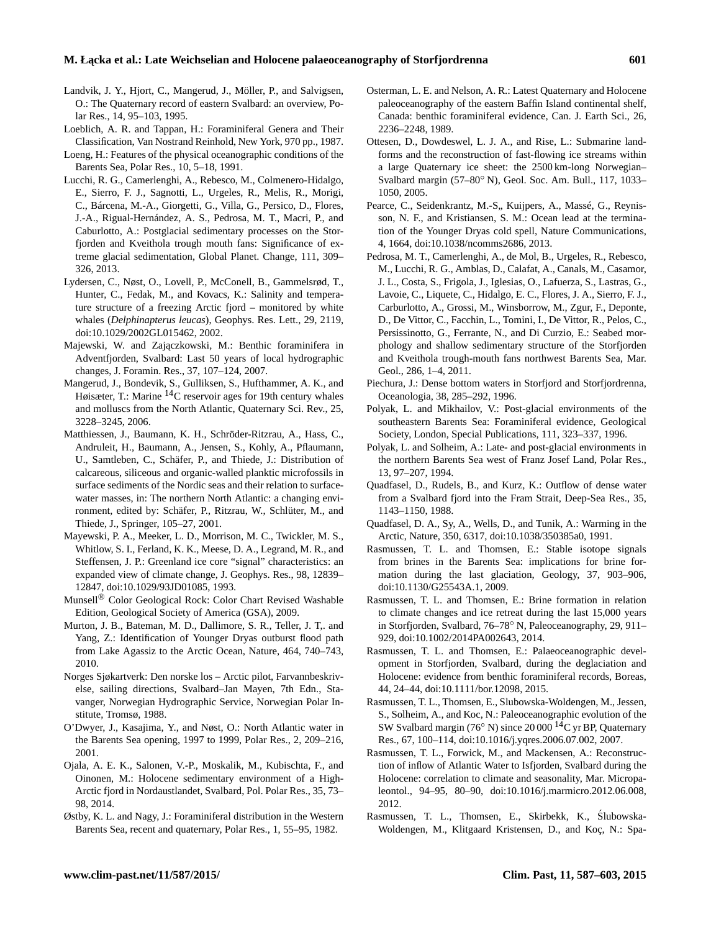- Landvik, J. Y., Hjort, C., Mangerud, J., Möller, P., and Salvigsen, O.: The Quaternary record of eastern Svalbard: an overview, Polar Res., 14, 95–103, 1995.
- Loeblich, A. R. and Tappan, H.: Foraminiferal Genera and Their Classification, Van Nostrand Reinhold, New York, 970 pp., 1987.
- Loeng, H.: Features of the physical oceanographic conditions of the Barents Sea, Polar Res., 10, 5–18, 1991.
- Lucchi, R. G., Camerlenghi, A., Rebesco, M., Colmenero-Hidalgo, E., Sierro, F. J., Sagnotti, L., Urgeles, R., Melis, R., Morigi, C., Bárcena, M.-A., Giorgetti, G., Villa, G., Persico, D., Flores, J.-A., Rigual-Hernández, A. S., Pedrosa, M. T., Macri, P., and Caburlotto, A.: Postglacial sedimentary processes on the Storfjorden and Kveithola trough mouth fans: Significance of extreme glacial sedimentation, Global Planet. Change, 111, 309– 326, 2013.
- Lydersen, C., Nøst, O., Lovell, P., McConell, B., Gammelsrød, T., Hunter, C., Fedak, M., and Kovacs, K.: Salinity and temperature structure of a freezing Arctic fjord – monitored by white whales (*Delphinapterus leucas*), Geophys. Res. Lett., 29, 2119, doi[:10.1029/2002GL015462,](http://dx.doi.org/10.1029/2002GL015462) 2002.
- Majewski, W. and Zajączkowski, M.: Benthic foraminifera in Adventfjorden, Svalbard: Last 50 years of local hydrographic changes, J. Foramin. Res., 37, 107–124, 2007.
- Mangerud, J., Bondevik, S., Gulliksen, S., Hufthammer, A. K., and Høisæter, T.: Marine  $^{14}$ C reservoir ages for 19th century whales and molluscs from the North Atlantic, Quaternary Sci. Rev., 25, 3228–3245, 2006.
- Matthiessen, J., Baumann, K. H., Schröder-Ritzrau, A., Hass, C., Andruleit, H., Baumann, A., Jensen, S., Kohly, A., Pflaumann, U., Samtleben, C., Schäfer, P., and Thiede, J.: Distribution of calcareous, siliceous and organic-walled planktic microfossils in surface sediments of the Nordic seas and their relation to surfacewater masses, in: The northern North Atlantic: a changing environment, edited by: Schäfer, P., Ritzrau, W., Schlüter, M., and Thiede, J., Springer, 105–27, 2001.
- Mayewski, P. A., Meeker, L. D., Morrison, M. C., Twickler, M. S., Whitlow, S. I., Ferland, K. K., Meese, D. A., Legrand, M. R., and Steffensen, J. P.: Greenland ice core "signal" characteristics: an expanded view of climate change, J. Geophys. Res., 98, 12839– 12847, doi[:10.1029/93JD01085,](http://dx.doi.org/10.1029/93JD01085) 1993.
- Munsell® Color Geological Rock: Color Chart Revised Washable Edition, Geological Society of America (GSA), 2009.
- Murton, J. B., Bateman, M. D., Dallimore, S. R., Teller, J. T,. and Yang, Z.: Identification of Younger Dryas outburst flood path from Lake Agassiz to the Arctic Ocean, Nature, 464, 740–743, 2010.
- Norges Sjøkartverk: Den norske los Arctic pilot, Farvannbeskrivelse, sailing directions, Svalbard–Jan Mayen, 7th Edn., Stavanger, Norwegian Hydrographic Service, Norwegian Polar Institute, Tromsø, 1988.
- O'Dwyer, J., Kasajima, Y., and Nøst, O.: North Atlantic water in the Barents Sea opening, 1997 to 1999, Polar Res., 2, 209–216, 2001.
- Ojala, A. E. K., Salonen, V.-P., Moskalik, M., Kubischta, F., and Oinonen, M.: Holocene sedimentary environment of a High-Arctic fjord in Nordaustlandet, Svalbard, Pol. Polar Res., 35, 73– 98, 2014.
- Østby, K. L. and Nagy, J.: Foraminiferal distribution in the Western Barents Sea, recent and quaternary, Polar Res., 1, 55–95, 1982.
- Osterman, L. E. and Nelson, A. R.: Latest Quaternary and Holocene paleoceanography of the eastern Baffin Island continental shelf, Canada: benthic foraminiferal evidence, Can. J. Earth Sci., 26, 2236–2248, 1989.
- Ottesen, D., Dowdeswel, L. J. A., and Rise, L.: Submarine landforms and the reconstruction of fast-flowing ice streams within a large Quaternary ice sheet: the 2500 km-long Norwegian– Svalbard margin (57–80◦ N), Geol. Soc. Am. Bull., 117, 1033– 1050, 2005.
- Pearce, C., Seidenkrantz, M.-S., Kuijpers, A., Massé, G., Reynisson, N. F., and Kristiansen, S. M.: Ocean lead at the termination of the Younger Dryas cold spell, Nature Communications, 4, 1664, doi[:10.1038/ncomms2686,](http://dx.doi.org/10.1038/ncomms2686) 2013.
- Pedrosa, M. T., Camerlenghi, A., de Mol, B., Urgeles, R., Rebesco, M., Lucchi, R. G., Amblas, D., Calafat, A., Canals, M., Casamor, J. L., Costa, S., Frigola, J., Iglesias, O., Lafuerza, S., Lastras, G., Lavoie, C., Liquete, C., Hidalgo, E. C., Flores, J. A., Sierro, F. J., Carburlotto, A., Grossi, M., Winsborrow, M., Zgur, F., Deponte, D., De Vittor, C., Facchin, L., Tomini, I., De Vittor, R., Pelos, C., Persissinotto, G., Ferrante, N., and Di Curzio, E.: Seabed morphology and shallow sedimentary structure of the Storfjorden and Kveithola trough-mouth fans northwest Barents Sea, Mar. Geol., 286, 1–4, 2011.
- Piechura, J.: Dense bottom waters in Storfjord and Storfjordrenna, Oceanologia, 38, 285–292, 1996.
- Polyak, L. and Mikhailov, V.: Post-glacial environments of the southeastern Barents Sea: Foraminiferal evidence, Geological Society, London, Special Publications, 111, 323–337, 1996.
- Polyak, L. and Solheim, A.: Late- and post-glacial environments in the northern Barents Sea west of Franz Josef Land, Polar Res., 13, 97–207, 1994.
- Quadfasel, D., Rudels, B., and Kurz, K.: Outflow of dense water from a Svalbard fjord into the Fram Strait, Deep-Sea Res., 35, 1143–1150, 1988.
- Quadfasel, D. A., Sy, A., Wells, D., and Tunik, A.: Warming in the Arctic, Nature, 350, 6317, doi[:10.1038/350385a0,](http://dx.doi.org/10.1038/350385a0) 1991.
- Rasmussen, T. L. and Thomsen, E.: Stable isotope signals from brines in the Barents Sea: implications for brine formation during the last glaciation, Geology, 37, 903–906, doi[:10.1130/G25543A.1,](http://dx.doi.org/10.1130/G25543A.1) 2009.
- Rasmussen, T. L. and Thomsen, E.: Brine formation in relation to climate changes and ice retreat during the last 15,000 years in Storfjorden, Svalbard, 76–78◦ N, Paleoceanography, 29, 911– 929, doi[:10.1002/2014PA002643,](http://dx.doi.org/10.1002/2014PA002643) 2014.
- Rasmussen, T. L. and Thomsen, E.: Palaeoceanographic development in Storfjorden, Svalbard, during the deglaciation and Holocene: evidence from benthic foraminiferal records, Boreas, 44, 24–44, doi[:10.1111/bor.12098,](http://dx.doi.org/10.1111/bor.12098) 2015.
- Rasmussen, T. L., Thomsen, E., Slubowska-Woldengen, M., Jessen, S., Solheim, A., and Koc, N.: Paleoceanographic evolution of the SW Svalbard margin (76 $\degree$  N) since 20 000  $^{14}$ C yr BP, Quaternary Res., 67, 100–114, doi[:10.1016/j.yqres.2006.07.002,](http://dx.doi.org/10.1016/j.yqres.2006.07.002) 2007.
- Rasmussen, T. L., Forwick, M., and Mackensen, A.: Reconstruction of inflow of Atlantic Water to Isfjorden, Svalbard during the Holocene: correlation to climate and seasonality, Mar. Micropaleontol., 94–95, 80–90, doi[:10.1016/j.marmicro.2012.06.008,](http://dx.doi.org/10.1016/j.marmicro.2012.06.008) 2012.
- Rasmussen, T. L., Thomsen, E., Skirbekk, K., Slubowska- ´ Woldengen, M., Klitgaard Kristensen, D., and Koç, N.: Spa-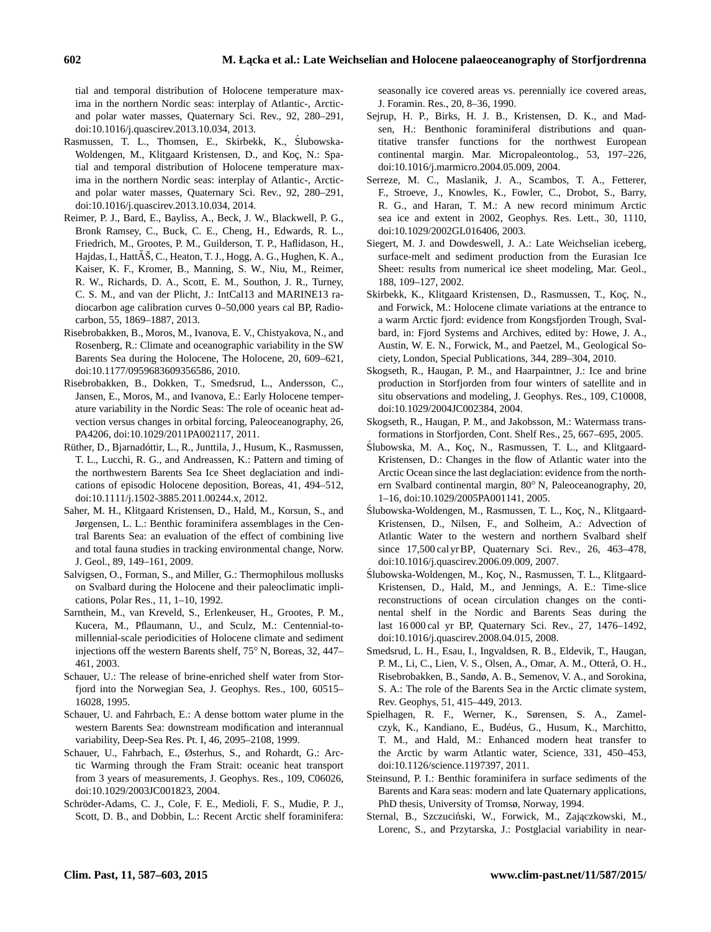tial and temporal distribution of Holocene temperature maxima in the northern Nordic seas: interplay of Atlantic-, Arcticand polar water masses, Quaternary Sci. Rev., 92, 280–291, doi[:10.1016/j.quascirev.2013.10.034,](http://dx.doi.org/10.1016/j.quascirev.2013.10.034) 2013.

- Rasmussen, T. L., Thomsen, E., Skirbekk, K., Slubowska- ´ Woldengen, M., Klitgaard Kristensen, D., and Koç, N.: Spatial and temporal distribution of Holocene temperature maxima in the northern Nordic seas: interplay of Atlantic-, Arcticand polar water masses, Quaternary Sci. Rev., 92, 280–291, doi[:10.1016/j.quascirev.2013.10.034,](http://dx.doi.org/10.1016/j.quascirev.2013.10.034) 2014.
- Reimer, P. J., Bard, E., Bayliss, A., Beck, J. W., Blackwell, P. G., Bronk Ramsey, C., Buck, C. E., Cheng, H., Edwards, R. L., Friedrich, M., Grootes, P. M., Guilderson, T. P., Haflidason, H., Hajdas, I., Hatt $\check{A}\check{S}$ , C., Heaton, T. J., Hogg, A. G., Hughen, K. A., Kaiser, K. F., Kromer, B., Manning, S. W., Niu, M., Reimer, R. W., Richards, D. A., Scott, E. M., Southon, J. R., Turney, C. S. M., and van der Plicht, J.: IntCal13 and MARINE13 radiocarbon age calibration curves 0–50,000 years cal BP, Radiocarbon, 55, 1869–1887, 2013.
- Risebrobakken, B., Moros, M., Ivanova, E. V., Chistyakova, N., and Rosenberg, R.: Climate and oceanographic variability in the SW Barents Sea during the Holocene, The Holocene, 20, 609–621, doi[:10.1177/0959683609356586,](http://dx.doi.org/10.1177/0959683609356586) 2010.
- Risebrobakken, B., Dokken, T., Smedsrud, L., Andersson, C., Jansen, E., Moros, M., and Ivanova, E.: Early Holocene temperature variability in the Nordic Seas: The role of oceanic heat advection versus changes in orbital forcing, Paleoceanography, 26, PA4206, doi[:10.1029/2011PA002117,](http://dx.doi.org/10.1029/2011PA002117) 2011.
- Rüther, D., Bjarnadóttir, L., R., Junttila, J., Husum, K., Rasmussen, T. L., Lucchi, R. G., and Andreassen, K.: Pattern and timing of the northwestern Barents Sea Ice Sheet deglaciation and indications of episodic Holocene deposition, Boreas, 41, 494–512, doi[:10.1111/j.1502-3885.2011.00244.x,](http://dx.doi.org/10.1111/j.1502-3885.2011.00244.x) 2012.
- Saher, M. H., Klitgaard Kristensen, D., Hald, M., Korsun, S., and Jørgensen, L. L.: Benthic foraminifera assemblages in the Central Barents Sea: an evaluation of the effect of combining live and total fauna studies in tracking environmental change, Norw. J. Geol., 89, 149–161, 2009.
- Salvigsen, O., Forman, S., and Miller, G.: Thermophilous mollusks on Svalbard during the Holocene and their paleoclimatic implications, Polar Res., 11, 1–10, 1992.
- Sarnthein, M., van Kreveld, S., Erlenkeuser, H., Grootes, P. M., Kucera, M., Pflaumann, U., and Sculz, M.: Centennial-tomillennial-scale periodicities of Holocene climate and sediment injections off the western Barents shelf, 75◦ N, Boreas, 32, 447– 461, 2003.
- Schauer, U.: The release of brine-enriched shelf water from Storfjord into the Norwegian Sea, J. Geophys. Res., 100, 60515– 16028, 1995.
- Schauer, U. and Fahrbach, E.: A dense bottom water plume in the western Barents Sea: downstream modification and interannual variability, Deep-Sea Res. Pt. I, 46, 2095–2108, 1999.
- Schauer, U., Fahrbach, E., Østerhus, S., and Rohardt, G.: Arctic Warming through the Fram Strait: oceanic heat transport from 3 years of measurements, J. Geophys. Res., 109, C06026, doi[:10.1029/2003JC001823,](http://dx.doi.org/10.1029/2003JC001823) 2004.
- Schröder-Adams, C. J., Cole, F. E., Medioli, F. S., Mudie, P. J., Scott, D. B., and Dobbin, L.: Recent Arctic shelf foraminifera:

seasonally ice covered areas vs. perennially ice covered areas, J. Foramin. Res., 20, 8–36, 1990.

- Sejrup, H. P., Birks, H. J. B., Kristensen, D. K., and Madsen, H.: Benthonic foraminiferal distributions and quantitative transfer functions for the northwest European continental margin. Mar. Micropaleontolog., 53, 197–226, doi[:10.1016/j.marmicro.2004.05.009,](http://dx.doi.org/10.1016/j.marmicro.2004.05.009) 2004.
- Serreze, M. C., Maslanik, J. A., Scambos, T. A., Fetterer, F., Stroeve, J., Knowles, K., Fowler, C., Drobot, S., Barry, R. G., and Haran, T. M.: A new record minimum Arctic sea ice and extent in 2002, Geophys. Res. Lett., 30, 1110, doi[:10.1029/2002GL016406,](http://dx.doi.org/10.1029/2002GL016406) 2003.
- Siegert, M. J. and Dowdeswell, J. A.: Late Weichselian iceberg, surface-melt and sediment production from the Eurasian Ice Sheet: results from numerical ice sheet modeling, Mar. Geol., 188, 109–127, 2002.
- Skirbekk, K., Klitgaard Kristensen, D., Rasmussen, T., Koç, N., and Forwick, M.: Holocene climate variations at the entrance to a warm Arctic fjord: evidence from Kongsfjorden Trough, Svalbard, in: Fjord Systems and Archives, edited by: Howe, J. A., Austin, W. E. N., Forwick, M., and Paetzel, M., Geological Society, London, Special Publications, 344, 289–304, 2010.
- Skogseth, R., Haugan, P. M., and Haarpaintner, J.: Ice and brine production in Storfjorden from four winters of satellite and in situ observations and modeling, J. Geophys. Res., 109, C10008, doi[:10.1029/2004JC002384,](http://dx.doi.org/10.1029/2004JC002384) 2004.
- Skogseth, R., Haugan, P. M., and Jakobsson, M.: Watermass transformations in Storfjorden, Cont. Shelf Res., 25, 667–695, 2005.
- Slubowska, M. A., Koç, N., Rasmussen, T. L., and Klitgaard- ´ Kristensen, D.: Changes in the flow of Atlantic water into the Arctic Ocean since the last deglaciation: evidence from the northern Svalbard continental margin, 80◦ N, Paleoceanography, 20, 1–16, doi[:10.1029/2005PA001141,](http://dx.doi.org/10.1029/2005PA001141) 2005.
- Slubowska-Woldengen, M., Rasmussen, T. L., Koç, N., Klitgaard- ´ Kristensen, D., Nilsen, F., and Solheim, A.: Advection of Atlantic Water to the western and northern Svalbard shelf since 17,500 cal yr BP, Quaternary Sci. Rev., 26, 463–478, doi[:10.1016/j.quascirev.2006.09.009,](http://dx.doi.org/10.1016/j.quascirev.2006.09.009) 2007.
- Slubowska-Woldengen, M., Koç, N., Rasmussen, T. L., Klitgaard- ´ Kristensen, D., Hald, M., and Jennings, A. E.: Time-slice reconstructions of ocean circulation changes on the continental shelf in the Nordic and Barents Seas during the last 16 000 cal yr BP, Quaternary Sci. Rev., 27, 1476–1492, doi[:10.1016/j.quascirev.2008.04.015,](http://dx.doi.org/10.1016/j.quascirev.2008.04.015) 2008.
- Smedsrud, L. H., Esau, I., Ingvaldsen, R. B., Eldevik, T., Haugan, P. M., Li, C., Lien, V. S., Olsen, A., Omar, A. M., Otterå, O. H., Risebrobakken, B., Sandø, A. B., Semenov, V. A., and Sorokina, S. A.: The role of the Barents Sea in the Arctic climate system, Rev. Geophys, 51, 415–449, 2013.
- Spielhagen, R. F., Werner, K., Sørensen, S. A., Zamelczyk, K., Kandiano, E., Budéus, G., Husum, K., Marchitto, T. M., and Hald, M.: Enhanced modern heat transfer to the Arctic by warm Atlantic water, Science, 331, 450–453, doi[:10.1126/science.1197397,](http://dx.doi.org/10.1126/science.1197397) 2011.
- Steinsund, P. I.: Benthic foraminifera in surface sediments of the Barents and Kara seas: modern and late Quaternary applications, PhD thesis, University of Tromsø, Norway, 1994.
- Sternal, B., Szczuciński, W., Forwick, M., Zajączkowski, M., Lorenc, S., and Przytarska, J.: Postglacial variability in near-